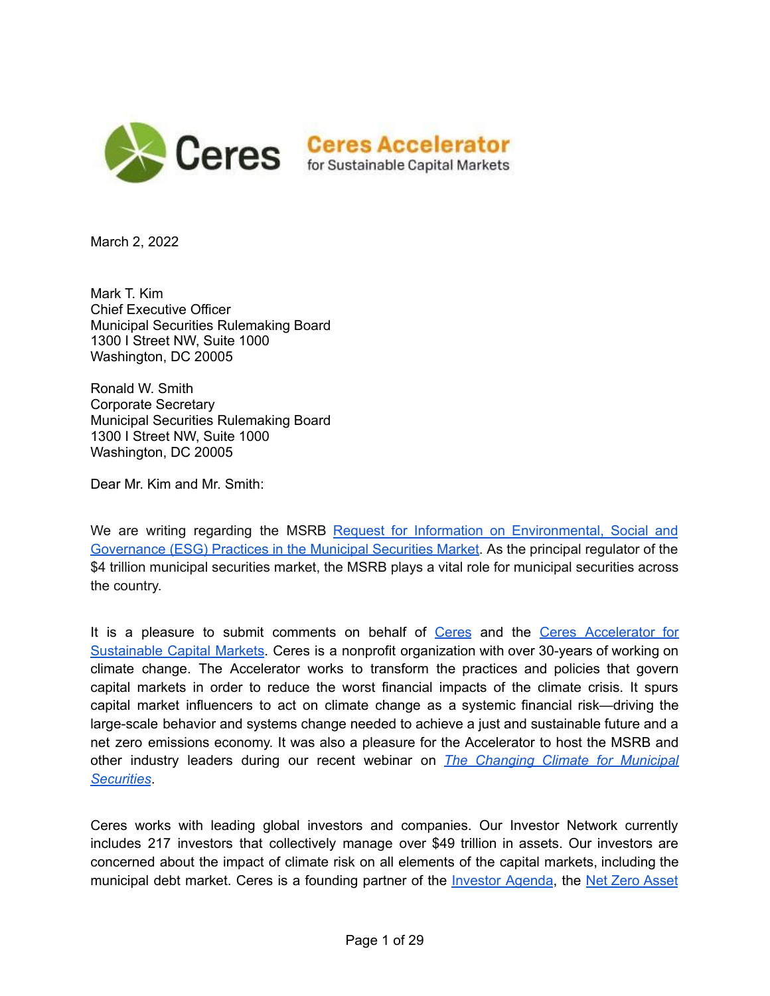

March 2, 2022

Mark T. Kim Chief Executive Officer Municipal Securities Rulemaking Board 1300 I Street NW, Suite 1000 Washington, DC 20005

Ronald W. Smith Corporate Secretary Municipal Securities Rulemaking Board 1300 I Street NW, Suite 1000 Washington, DC 20005

Dear Mr. Kim and Mr. Smith:

We are writing regarding the MSRB Request for Information on [Environmental,](https://www.msrb.org/-/media/Files/Regulatory-Notices/RFCs/2021-17.ashx?) Social and [Governance](https://www.msrb.org/-/media/Files/Regulatory-Notices/RFCs/2021-17.ashx?) (ESG) Practices in the Municipal Securities Market. As the principal regulator of the \$4 trillion municipal securities market, the MSRB plays a vital role for municipal securities across the country.

It is a pleasure to submit comments on behalf of [Ceres](https://www.ceres.org/homepage) and the Ceres [Accelerator](https://www.ceres.org/accelerator) for [Sustainable](https://www.ceres.org/accelerator) Capital Markets. Ceres is a nonprofit organization with over 30-years of working on climate change. The Accelerator works to transform the practices and policies that govern capital markets in order to reduce the worst financial impacts of the climate crisis. It spurs capital market influencers to act on climate change as a systemic financial risk—driving the large-scale behavior and systems change needed to achieve a just and sustainable future and a net zero emissions economy. It was also a pleasure for the Accelerator to host the MSRB and other industry leaders during our recent webinar on *The [Changing](https://www.ceres.org/events/webinar-changing-climate-municipal-securities-discussion-esg-practices-and-climate-risk) Climate for Municipal [Securities](https://www.ceres.org/events/webinar-changing-climate-municipal-securities-discussion-esg-practices-and-climate-risk)*.

Ceres works with leading global investors and companies. Our Investor Network currently includes 217 investors that collectively manage over \$49 trillion in assets. Our investors are concerned about the impact of climate risk on all elements of the capital markets, including the municipal debt market. Ceres is a founding partner of the [Investor](https://theinvestoragenda.org/) Agenda, the Net Zero [Asset](https://www.netzeroassetmanagers.org/)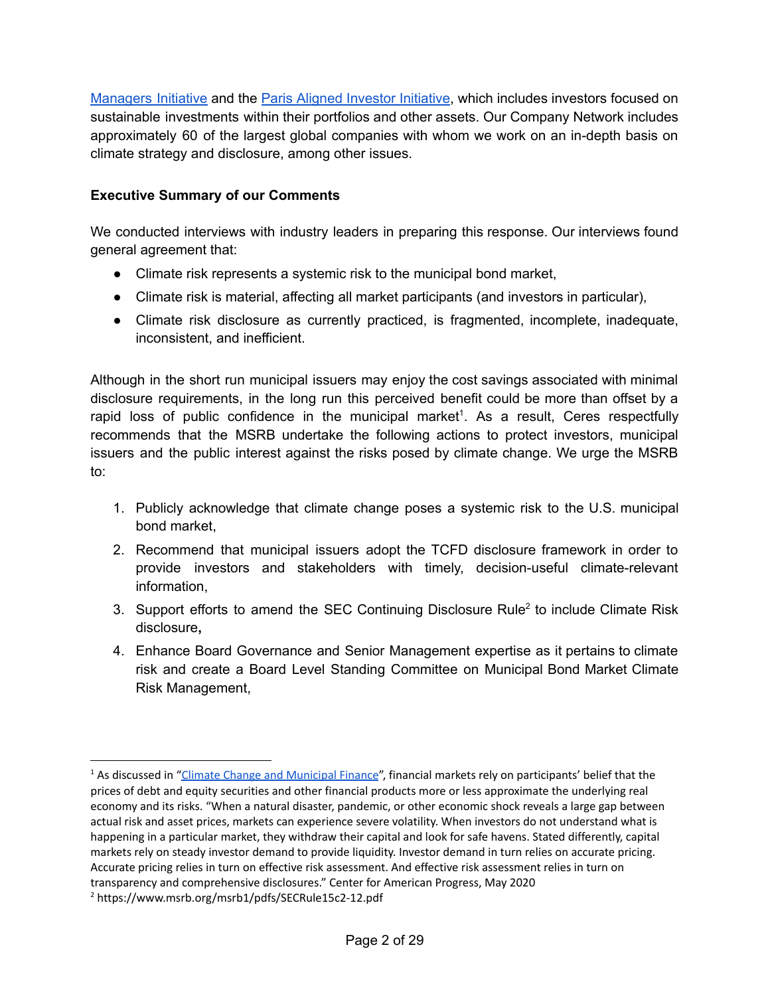[Managers](https://www.netzeroassetmanagers.org/) Initiative and the Paris Aligned Investor [Initiative](https://www.parisalignedinvestment.org/), which includes investors focused on sustainable investments within their portfolios and other assets. Our Company Network includes approximately 60 of the largest global companies with whom we work on an in-depth basis on climate strategy and disclosure, among other issues.

#### **Executive Summary of our Comments**

We conducted interviews with industry leaders in preparing this response. Our interviews found general agreement that:

- Climate risk represents a systemic risk to the municipal bond market,
- Climate risk is material, affecting all market participants (and investors in particular),
- Climate risk disclosure as currently practiced, is fragmented, incomplete, inadequate, inconsistent, and inefficient.

Although in the short run municipal issuers may enjoy the cost savings associated with minimal disclosure requirements, in the long run this perceived benefit could be more than offset by a rapid loss of public confidence in the municipal market<sup>1</sup>. As a result, Ceres respectfully recommends that the MSRB undertake the following actions to protect investors, municipal issuers and the public interest against the risks posed by climate change. We urge the MSRB to:

- 1. Publicly acknowledge that climate change poses a systemic risk to the U.S. municipal bond market,
- 2. Recommend that municipal issuers adopt the TCFD disclosure framework in order to provide investors and stakeholders with timely, decision-useful climate-relevant information,
- 3. Support efforts to amend the SEC Continuing Disclosure Rule<sup>2</sup> to include Climate Risk disclosure**,**
- 4. Enhance Board Governance and Senior Management expertise as it pertains to climate risk and create a Board Level Standing Committee on Municipal Bond Market Climate Risk Management,

<sup>&</sup>lt;sup>1</sup> As discussed in "Climate Change and [Municipal](https://www.americanprogress.org/issues/economy/reports/2020/05/06/484173/climate-change-municipal-finance/) Finance", financial markets rely on participants' belief that the prices of debt and equity securities and other financial products more or less approximate the underlying real economy and its risks. "When a natural disaster, pandemic, or other economic shock reveals a large gap between actual risk and asset prices, markets can experience severe volatility. When investors do not understand what is happening in a particular market, they withdraw their capital and look for safe havens. Stated differently, capital markets rely on steady investor demand to provide liquidity. Investor demand in turn relies on accurate pricing. Accurate pricing relies in turn on effective risk assessment. And effective risk assessment relies in turn on transparency and comprehensive disclosures." Center for American Progress, May 2020

<sup>2</sup> <https://www.msrb.org/msrb1/pdfs/SECRule15c2-12.pdf>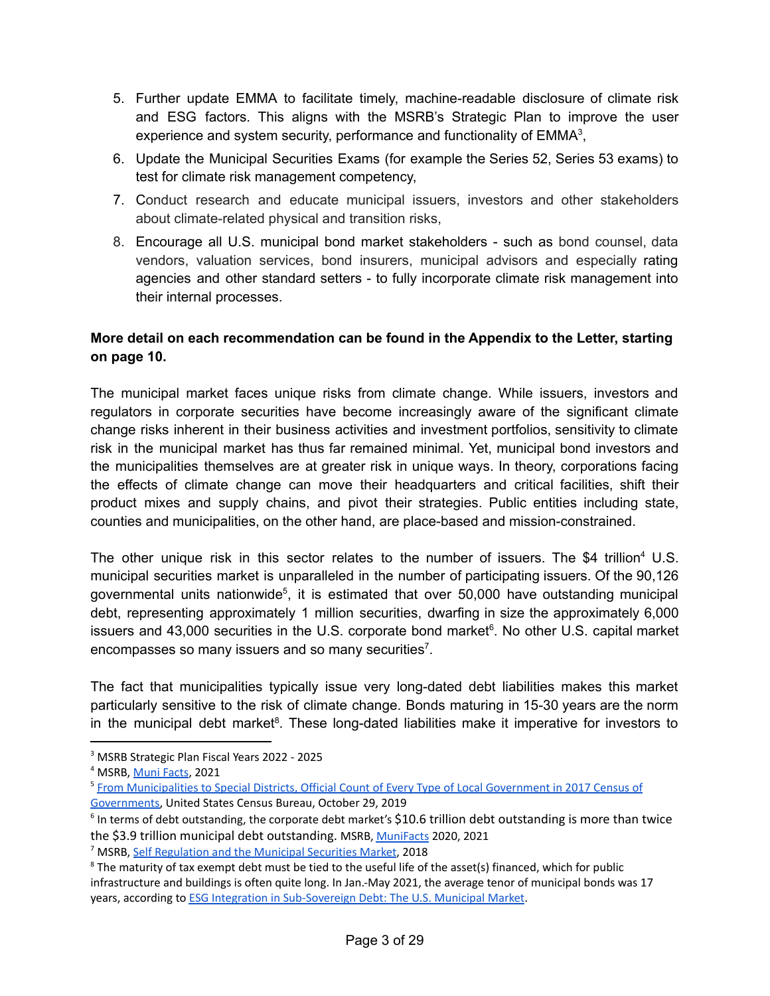- 5. Further update EMMA to facilitate timely, machine-readable disclosure of climate risk and ESG factors. This aligns with the MSRB's Strategic Plan to improve the user experience and system security, performance and functionality of  $EMMA<sup>3</sup>$ ,
- 6. Update the Municipal Securities Exams (for example the Series 52, Series 53 exams) to test for climate risk management competency,
- 7. Conduct research and educate municipal issuers, investors and other stakeholders about climate-related physical and transition risks,
- 8. Encourage all U.S. municipal bond market stakeholders such as bond counsel, data vendors, valuation services, bond insurers, municipal advisors and especially rating agencies and other standard setters - to fully incorporate climate risk management into their internal processes.

# **More detail on each recommendation can be found in the Appendix to the Letter, starting on page 10.**

The municipal market faces unique risks from climate change. While issuers, investors and regulators in corporate securities have become increasingly aware of the significant climate change risks inherent in their business activities and investment portfolios, sensitivity to climate risk in the municipal market has thus far remained minimal. Yet, municipal bond investors and the municipalities themselves are at greater risk in unique ways. In theory, corporations facing the effects of climate change can move their headquarters and critical facilities, shift their product mixes and supply chains, and pivot their strategies. Public entities including state, counties and municipalities, on the other hand, are place-based and mission-constrained.

The other unique risk in this sector relates to the number of issuers. The \$4 trillion<sup>4</sup> U.S. municipal securities market is unparalleled in the number of participating issuers. Of the 90,126 governmental units nationwide<sup>5</sup>, it is estimated that over 50,000 have outstanding municipal debt, representing approximately 1 million securities, dwarfing in size the approximately 6,000 issuers and 43,000 securities in the U.S. corporate bond market 6 . No other U.S. capital market encompasses so many issuers and so many securities<sup>7</sup>.

The fact that municipalities typically issue very long-dated debt liabilities makes this market particularly sensitive to the risk of climate change. Bonds maturing in 15-30 years are the norm in the municipal debt market<sup>8</sup>. These long-dated liabilities make it imperative for investors to

<sup>3</sup> MSRB Strategic Plan Fiscal Years 2022 - 2025

<sup>4</sup> MSRB, [Muni](https://www.msrb.org/msrb1/pdfs/MSRB-Muni-Facts.pdf) Facts, 2021

<sup>5</sup> From [Municipalities](https://www.census.gov/library/publications/2019/econ/from_municipalities_to_special_districts.html) to Special Districts, Official Count of Every Type of Local Government in 2017 Census of [Governments](https://www.census.gov/library/publications/2019/econ/from_municipalities_to_special_districts.html), United States Census Bureau, October 29, 2019

 $6$  In terms of debt outstanding, the corporate debt market's \$10.6 trillion debt outstanding is more than twice the \$3.9 trillion municipal debt outstanding. MSRB, [MuniFacts](https://www.msrb.org/msrb1/pdfs/MSRB-Muni-Facts.pdf) 2020, 2021

<sup>7</sup> MSRB, Self [Regulation](https://msrb.org/~/media/Files/Resources/MSRB-Self-Regulation-and-the-Municipal-Securities-Market.ashx) and the Municipal Securities Market, 2018

 $8$  The maturity of tax exempt debt must be tied to the useful life of the asset(s) financed, which for public infrastructure and buildings is often quite long. In Jan.-May 2021, the average tenor of municipal bonds was 17 years, according to ESG Integration in [Sub-Sovereign](https://www.unpri.org/investment-tools/fixed-income/sub-sovereign-debt) Debt: The U.S. Municipal Market.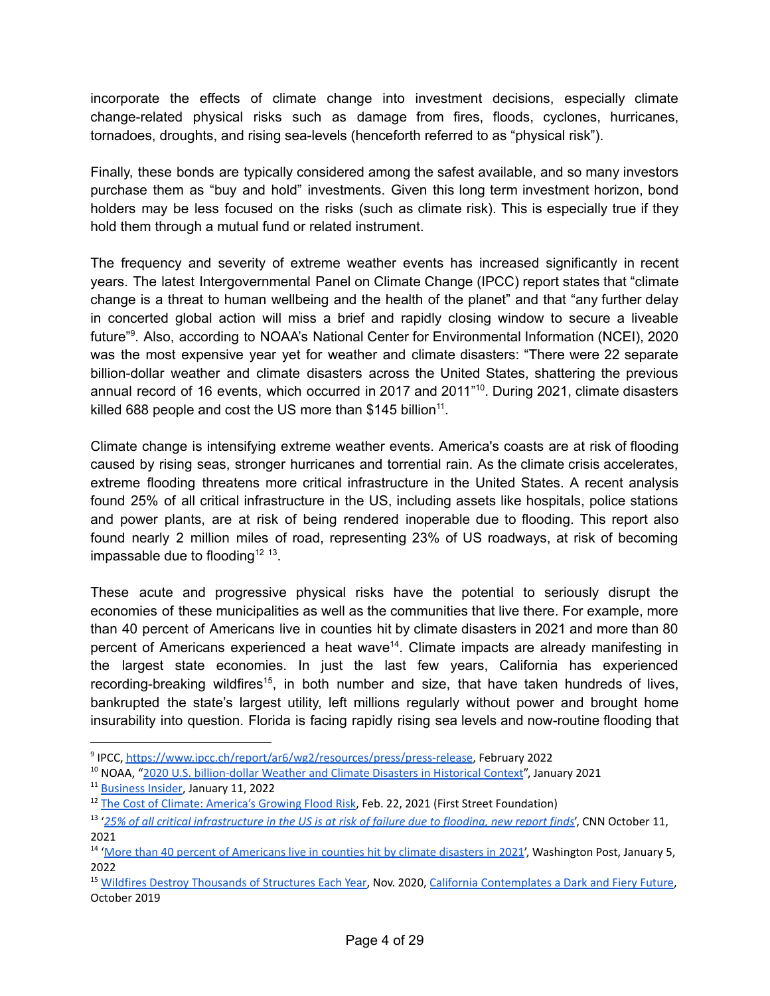incorporate the effects of climate change into investment decisions, especially climate change-related physical risks such as damage from fires, floods, cyclones, hurricanes, tornadoes, droughts, and rising sea-levels (henceforth referred to as "physical risk").

Finally, these bonds are typically considered among the safest available, and so many investors purchase them as "buy and hold" investments. Given this long term investment horizon, bond holders may be less focused on the risks (such as climate risk). This is especially true if they hold them through a mutual fund or related instrument.

The frequency and severity of extreme weather events has increased significantly in recent years. The latest Intergovernmental Panel on Climate Change (IPCC) report states that "climate change is a threat to human wellbeing and the health of the planet" and that "any further delay in concerted global action will miss a brief and rapidly closing window to secure a liveable future"<sup>9</sup>. Also, according to NOAA's National Center for Environmental Information (NCEI), 2020 was the most expensive year yet for weather and climate disasters: "There were 22 separate billion-dollar weather and climate disasters across the United States, shattering the previous annual record of 16 events, which occurred in 2017 and 2011" 10 . During 2021, climate disasters killed 688 people and cost the US more than  $$145$  billion<sup>11</sup>.

Climate change is intensifying extreme weather events. America's coasts are at risk of flooding caused by rising seas, stronger hurricanes and torrential rain. As the climate crisis accelerates, extreme flooding threatens more critical infrastructure in the United States. A recent [analysis](https://www.cnn.com/2021/10/11/weather/infrastructure-flood-risk-climate-first-street/index.html) [found](https://www.cnn.com/2021/10/11/weather/infrastructure-flood-risk-climate-first-street/index.html) 25% of all critical infrastructure in the US, including assets like hospitals, police stations and power plants, are at risk of being rendered inoperable due to flooding. This report also found nearly 2 million miles of road, representing 23% of US roadways, at risk of becoming impassable due to flooding<sup>12 13</sup>.

These acute and progressive physical risks have the potential to seriously disrupt the economies of these municipalities as well as the communities that live there. For example, more than 40 percent of Americans live in counties hit by climate disasters in 2021 and more than 80 percent of Americans experienced a heat wave<sup>14</sup>. Climate impacts are already manifesting in the largest state economies. In just the last few years, California has experienced recording-breaking wildfires<sup>15</sup>, in both number and size, that have taken hundreds of lives, bankrupted the state's largest utility, left millions regularly without power and brought home insurability into question. Florida is facing rapidly rising sea levels and now-routine flooding that

<sup>&</sup>lt;sup>9</sup> IPCC, <https://www.ipcc.ch/report/ar6/wg2/resources/press/press-release>, February 2022

<sup>&</sup>lt;sup>10</sup> NOAA, "2020 U.S. [billion-dollar](https://www.climate.gov/news-features/blogs/beyond-data/2020-us-billion-dollar-weather-and-climate-disasters-historical) Weather and Climate Disasters in Historical Context", January 2021

<sup>&</sup>lt;sup>11</sup> [Business](https://www.businessinsider.com/climate-disaster-death-toll-688-people-cost-145-billion-2021-2022-1) Insider, January 11, 2022

<sup>&</sup>lt;sup>12</sup> The Cost of Climate: [America's](https://firststreet.org/research-lab/published-research/highlights-from-the-cost-of-climate-americas-growing-flood-risk/#:~:text=Using%20climate%20projections%20for%2030,across%20the%20contiguous%20United%20States.) Growing Flood Risk, Feb. 22, 2021 (First Street Foundation)

<sup>&</sup>lt;sup>13</sup> '25% of all critical [infrastructure](https://www.cnn.com/2021/10/11/weather/infrastructure-flood-risk-climate-first-street/index.html) in the US is at risk of failure due to flooding, new report finds', CNN October 11, 2021

<sup>&</sup>lt;sup>14</sup> 'More than 40 percent of [Americans](https://www.washingtonpost.com/climate-environment/2022/01/05/climate-disasters-2021-fires/?utm_campaign=Hot%20News&utm_medium=email&_hsmi=200122227&_hsenc=p2ANqtz-83KMDi1XWBRa3kYL2xs7nsboIwrV1NOVAUhYBkF055diOc2qYmAnQJyXEyMjK4wz5nB0itl99gx6TbQdSc9mFanf8Bwg&utm_content=200122227&utm_source=hs_email) live in counties hit by climate disasters in 2021', Washington Post, January 5, 2022

<sup>&</sup>lt;sup>15</sup> Wildfires Destroy [Thousands](https://headwaterseconomics.org/natural-hazards/structures-destroyed-by-wildfire/) of Structures Each Year, Nov. 2020, California [Contemplates](https://www.bloomberg.com/news/articles/2019-10-29/fire-and-blackouts-dim-california-s-power-future) a Dark and Fiery Future, October 2019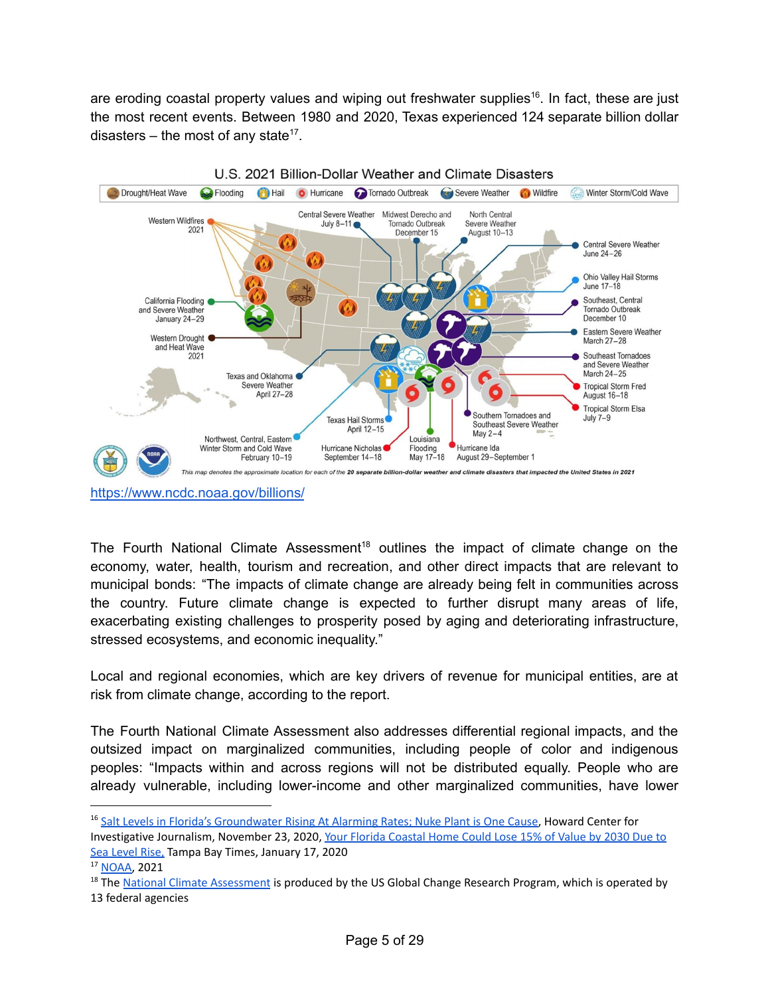are eroding coastal property values and wiping out freshwater supplies<sup>16</sup>. In fact, these are just the most recent events. Between 1980 and 2020, Texas experienced 124 separate billion dollar disasters – the most of any state<sup>17</sup>.



<https://www.ncdc.noaa.gov/billions/>

The Fourth National Climate [Assessment](https://nca2018.globalchange.gov/)<sup>18</sup> outlines the impact of climate change on the economy, water, health, tourism and recreation, and other direct impacts that are relevant to municipal bonds: "The impacts of climate change are already being felt in communities across the country. Future climate change is expected to further disrupt many areas of life, exacerbating existing challenges to prosperity posed by aging and deteriorating infrastructure, stressed ecosystems, and economic inequality."

Local and regional economies, which are key drivers of revenue for municipal entities, are at risk from climate change, according to the report.

The Fourth National Climate Assessment also addresses differential regional impacts, and the outsized impact on marginalized communities, including people of color and indigenous peoples: "Impacts within and across regions will not be distributed equally. People who are already vulnerable, including lower-income and other marginalized communities, have lower

<sup>&</sup>lt;sup>16</sup> Salt Levels in Florida's [Groundwater](https://cnsmaryland.org/2020/11/23/salt-levels-in-floridas-groundwater-rising-at-alarming-rates-nuke-plant-is-one-cause/) Rising At Alarming Rates; Nuke Plant is One Cause, Howard Center for Investigative Journalism, November 23, 2020, Your Florida [Coastal](https://www.tampabay.com/news/real-estate/2020/01/17/your-florida-coastal-home-could-lose-15-of-its-value-by-2030-due-to-sea-rise/) Home Could Lose 15% of Value by 2030 Due to Sea [Level](https://www.tampabay.com/news/real-estate/2020/01/17/your-florida-coastal-home-could-lose-15-of-its-value-by-2030-due-to-sea-rise/) Rise, Tampa Bay Times, January 17, 2020

<sup>17</sup> [NOAA,](https://www.ncdc.noaa.gov/billions/) 2021

<sup>&</sup>lt;sup>18</sup> The National Climate [Assessment](https://nca2018.globalchange.gov/) is produced by the US Global Change Research Program, which is operated by 13 federal agencies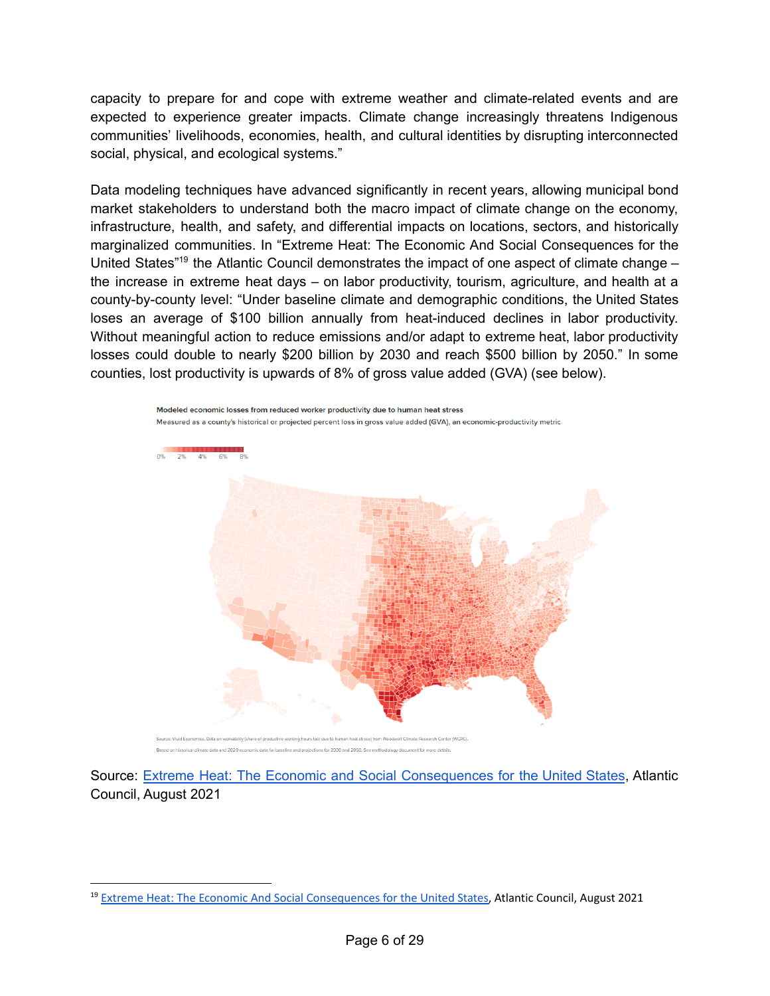capacity to prepare for and cope with extreme weather and climate-related events and are expected to experience greater impacts. Climate change increasingly threatens Indigenous communities' livelihoods, economies, health, and cultural identities by disrupting interconnected social, physical, and ecological systems."

Data modeling techniques have advanced significantly in recent years, allowing municipal bond market stakeholders to understand both the macro impact of climate change on the economy, infrastructure, health, and safety, and differential impacts on locations, sectors, and historically marginalized communities. In "Extreme Heat: The Economic And Social Consequences for the United States<sup>"19</sup> the Atlantic Council demonstrates the impact of one aspect of climate change the increase in extreme heat days – on labor productivity, tourism, agriculture, and health at a county-by-county level: "Under baseline climate and demographic conditions, the United States loses an average of \$100 billion annually from heat-induced declines in labor productivity. Without meaningful action to reduce emissions and/or adapt to extreme heat, labor productivity losses could double to nearly \$200 billion by 2030 and reach \$500 billion by 2050." In some counties, lost productivity is upwards of 8% of gross value added (GVA) (see below).



Modeled economic losses from reduced worker productivity due to human heat stress

Source: Extreme Heat: The Economic and Social [Consequences](https://www.atlanticcouncil.org/in-depth-research-reports/report/extreme-heat-the-economic-and-social-consequences-for-the-united-states/) for the United States, Atlantic Council, August 2021

<sup>&</sup>lt;sup>19</sup> Extreme Heat: The Economic And Social [Consequences](https://www.atlanticcouncil.org/wp-content/uploads/2021/08/Extreme-Heat-Report-2021.pdf) for the United States, Atlantic Council, August 2021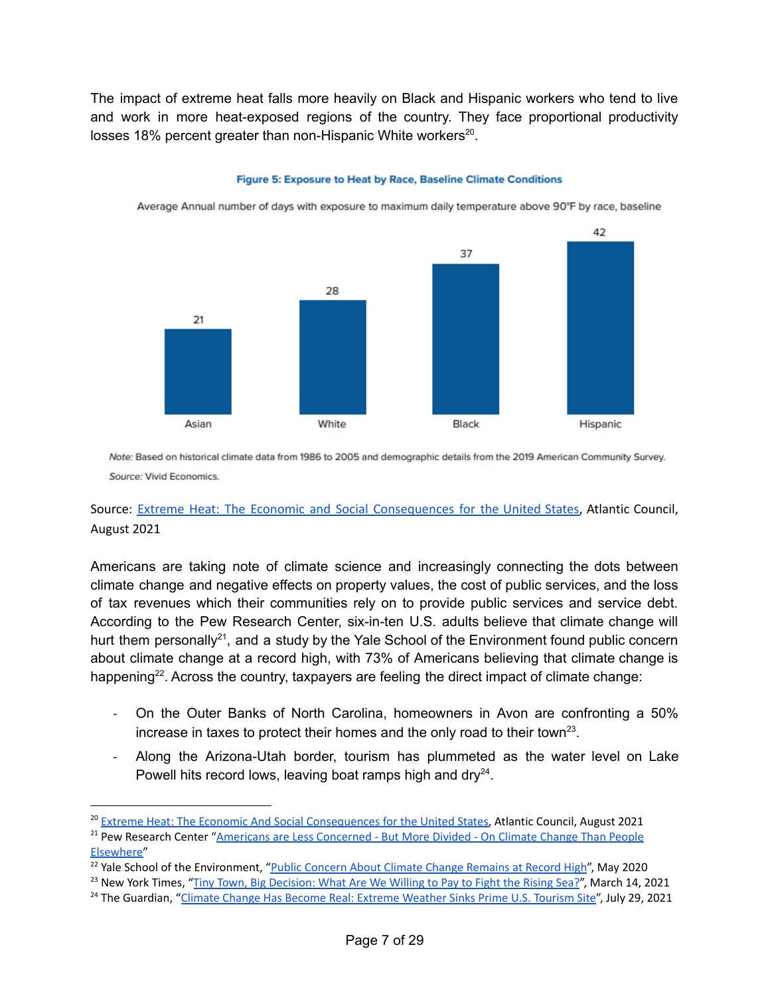The impact of extreme heat falls more heavily on Black and Hispanic workers who tend to live and work in more heat-exposed regions of the country. They face proportional productivity losses 18% percent greater than non-Hispanic White workers<sup>20</sup>.



Figure 5: Exposure to Heat by Race, Baseline Climate Conditions

Average Annual number of days with exposure to maximum daily temperature above 90°F by race, baseline

Note: Based on historical climate data from 1986 to 2005 and demographic details from the 2019 American Community Survey. Source: Vivid Economics.

# Source: Extreme Heat: The Economic and Social [Consequences](https://www.atlanticcouncil.org/in-depth-research-reports/report/extreme-heat-the-economic-and-social-consequences-for-the-united-states/) for the United States, Atlantic Council, August 2021

Americans are taking note of climate science and increasingly connecting the dots between climate change and negative effects on property values, the cost of public services, and the loss of tax revenues which their communities rely on to provide public services and service debt. According to the Pew Research Center, six-in-ten U.S. adults believe that climate change will hurt them personally<sup>21</sup>, and a study by the Yale School of the Environment found public concern about climate change at a record high, with 73% of Americans believing that climate change is happening<sup>22</sup>. Across the country, taxpayers are feeling the direct impact of climate change:

- On the Outer Banks of North Carolina, homeowners in Avon are confronting a 50% increase in taxes to protect their homes and the only road to their town<sup>23</sup>.
- Along the Arizona-Utah border, tourism has plummeted as the water level on Lake Powell hits record lows, leaving boat ramps high and dry<sup>24</sup>.

<sup>&</sup>lt;sup>20</sup> Extreme Heat: The Economic And Social [Consequences](https://www.atlanticcouncil.org/wp-content/uploads/2021/08/Extreme-Heat-Report-2021.pdf) for the United States, Atlantic Council, August 2021

<sup>&</sup>lt;sup>21</sup> Pew Research Center "Americans are Less [Concerned](https://www.pewresearch.org/fact-tank/2021/09/14/americans-are-less-concerned-but-more-divided-on-climate-change-than-people-elsewhere/) - But More Divided - On Climate Change Than People [Elsewhere"](https://www.pewresearch.org/fact-tank/2021/09/14/americans-are-less-concerned-but-more-divided-on-climate-change-than-people-elsewhere/)

<sup>&</sup>lt;sup>22</sup> Yale School of the Environment, "Public Concern About Climate Change [Remains](https://environment.yale.edu/news/article/public-concern-about-climate-change-remains-at-record-highs/) at Record High". May 2020

<sup>&</sup>lt;sup>23</sup> New York Times, "Tiny Town, Big [Decision:](https://www.nytimes.com/2021/03/14/climate/outer-banks-tax-climate-change.html) What Are We Willing to Pay to Fight the Rising Sea?", March 14, 2021

<sup>&</sup>lt;sup>24</sup> The Guardian, "Climate Change Has Become Real: Extreme [Weather](https://www.theguardian.com/environment/2021/jul/29/lake-powell-arizona-utah-climate-crisis) Sinks Prime U.S. Tourism Site", July 29, 2021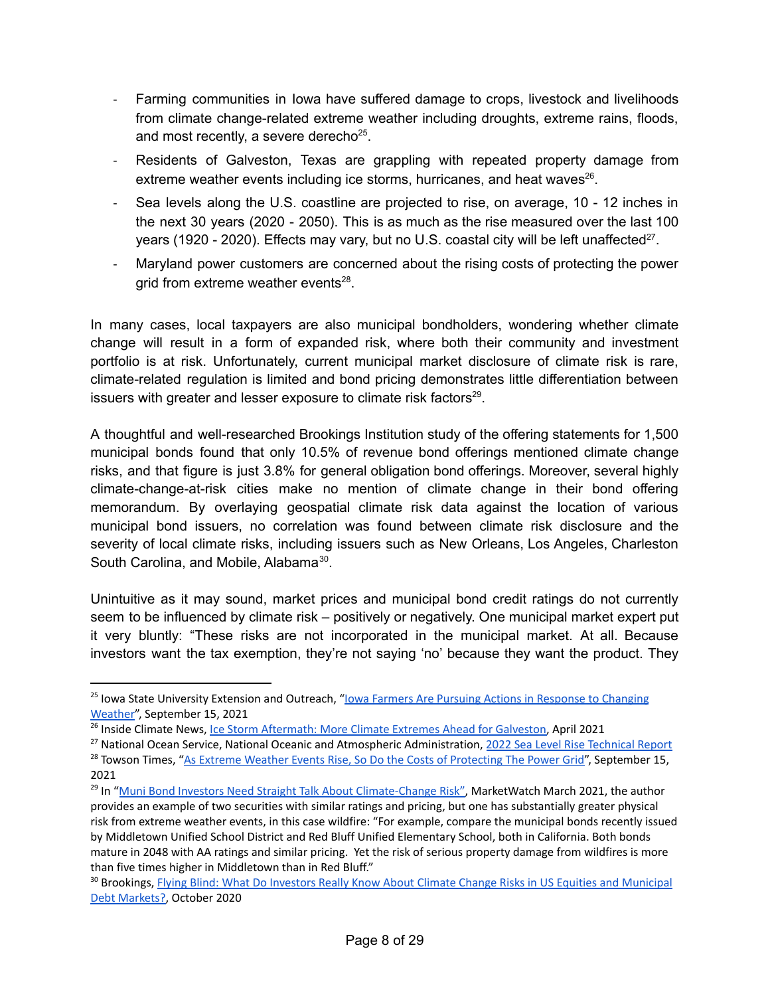- Farming communities in Iowa have suffered damage to crops, livestock and livelihoods from climate change-related extreme weather including droughts, extreme rains, floods, and most recently, a severe derecho<sup>25</sup>.
- Residents of Galveston, Texas are grappling with repeated property damage from extreme weather events including ice storms, hurricanes, and heat waves<sup>26</sup>.
- Sea levels along the U.S. coastline are projected to rise, on average, 10 12 inches in the next 30 years (2020 - 2050). This is as much as the rise measured over the last 100 years (1920 - 2020). Effects may vary, but no U.S. coastal city will be left unaffected<sup>27</sup>.
- Maryland power customers are concerned about the rising costs of protecting the power grid from extreme weather events<sup>28</sup>.

In many cases, local taxpayers are also municipal bondholders, wondering whether climate change will result in a form of expanded risk, where both their community and investment portfolio is at risk. Unfortunately, current municipal market disclosure of climate risk is rare, climate-related regulation is limited and bond pricing demonstrates little differentiation between issuers with greater and lesser exposure to climate risk factors<sup>29</sup>.

A thoughtful and well-researched Brookings Institution study of the offering statements for 1,500 municipal bonds found that only 10.5% of revenue bond offerings mentioned climate change risks, and that figure is just 3.8% for general obligation bond offerings. Moreover, several highly climate-change-at-risk cities make no mention of climate change in their bond offering memorandum. By overlaying geospatial climate risk data against the location of various municipal bond issuers, no correlation was found between climate risk disclosure and the severity of local climate risks, including issuers such as New Orleans, Los Angeles, Charleston South Carolina, and Mobile, Alabama<sup>30</sup>.

Unintuitive as it may sound, market prices and municipal bond credit ratings do not currently seem to be influenced by climate risk – positively or negatively. One municipal market expert put it very bluntly: "These risks are not incorporated in the municipal market. At all. Because investors want the tax exemption, they're not saying 'no' because they want the product. They

<sup>&</sup>lt;sup>25</sup> Iowa State University Extension and Outreach, "<u>Iowa Farmers Are Pursuing Actions in [Response](https://www.extension.iastate.edu/news/iowa-farmers-are-pursuing-actions-response-changing-weather) to Changing</u> [Weather](https://www.extension.iastate.edu/news/iowa-farmers-are-pursuing-actions-response-changing-weather)", September 15, 2021

<sup>&</sup>lt;sup>26</sup> Inside Climate News, Ice Storm [Aftermath:](https://insideclimatenews.org/news/19042021/ice-storm-aftermath-more-climate-extremes-ahead-for-galveston/) More Climate Extremes Ahead for Galveston, April 2021

<sup>&</sup>lt;sup>27</sup> National Ocean Service, National Oceanic and Atmospheric Administration, 2022 Sea Level Rise [Technical](https://oceanservice.noaa.gov/hazards/sealevelrise/sealevelrise-tech-report.html?utm_source=newsletter&utm_medium=email&utm_campaign=newsletter_axiosgenerate&stream=top) Report

<sup>&</sup>lt;sup>28</sup> Towson Times, "As Extreme Weather Events Rise, So Do the Costs of [Protecting](https://enewspaper.towsontimes.com/html5/desktop/production/default.aspx?&edid=ea07d84b-850a-4df9-bbb8-493114e1b97e) The Power Grid", September 15, 2021

<sup>&</sup>lt;sup>29</sup> In "Muni Bond Investors Need Straight Talk About [Climate-Change](https://www.marketwatch.com/story/muni-bond-investors-need-straight-talk-about-climate-change-risk-11617001961) Risk", MarketWatch March 2021, the author provides an example of two securities with similar ratings and pricing, but one has substantially greater physical risk from extreme weather events, in this case wildfire: "For example, compare the municipal bonds recently issued by Middletown Unified School District and Red Bluff Unified Elementary School, both in California. Both bonds mature in 2048 with AA ratings and similar pricing. Yet the risk of serious property damage from wildfires is more than five times higher in Middletown than in Red Bluff."

<sup>&</sup>lt;sup>30</sup> Brookings, Flying Blind: What Do Investors Really Know About Climate Change Risks in US Equities and [Municipal](https://www.brookings.edu/wp-content/uploads/2020/09/WP67_Victor-et-al.pdf) Debt [Markets?,](https://www.brookings.edu/wp-content/uploads/2020/09/WP67_Victor-et-al.pdf) October 2020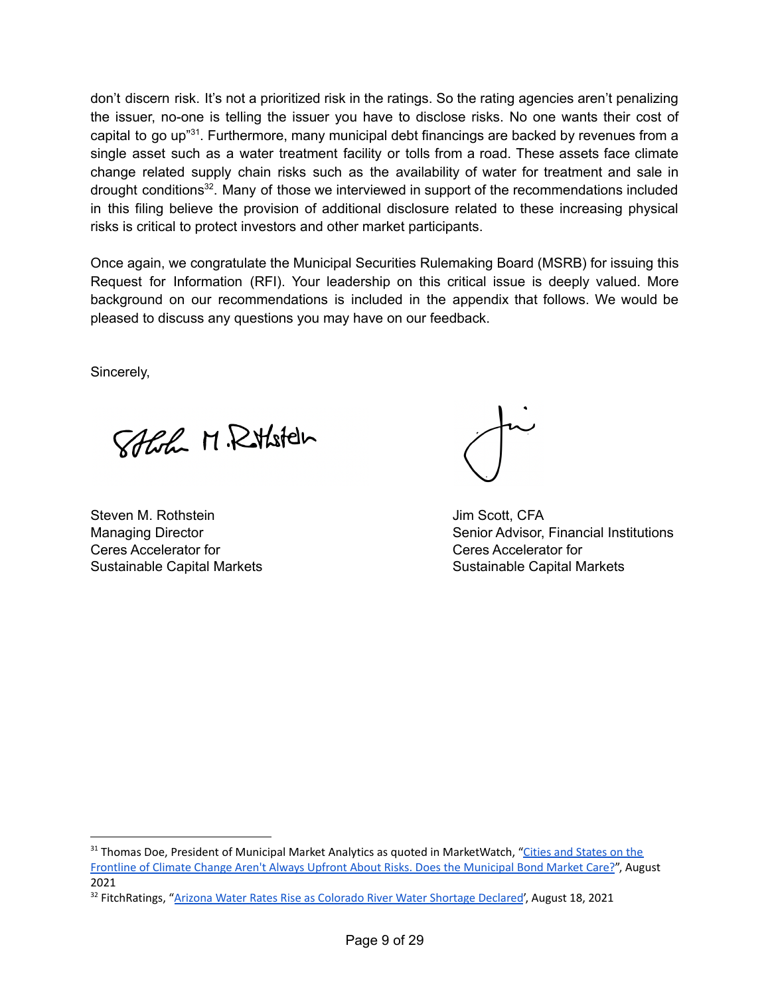don't discern risk. It's not a prioritized risk in the ratings. So the rating agencies aren't penalizing the issuer, no-one is telling the issuer you have to disclose risks. No one wants their cost of capital to go up"<sup>31</sup>. Furthermore, many municipal debt financings are backed by revenues from a single asset such as a water treatment facility or tolls from a road. These assets face climate change related supply chain risks such as the availability of water for treatment and sale in drought conditions<sup>32</sup>. Many of those we interviewed in support of the recommendations included in this filing believe the provision of additional disclosure related to these increasing physical risks is critical to protect investors and other market participants.

Once again, we congratulate the Municipal Securities Rulemaking Board (MSRB) for issuing this Request for Information (RFI). Your leadership on this critical issue is deeply valued. More background on our recommendations is included in the appendix that follows. We would be pleased to discuss any questions you may have on our feedback.

Sincerely,

Solch M. Rithold

Steven M. Rothstein **M. Australian Communist Communist Communist Communist Communist Communist Communist Communist Communist Communist Communist Communist Communist Communist Communist Communist Communist Communist Communi** Ceres Accelerator for Ceres Accelerator for

Managing Director **Senior Advisor, Financial Institutions** Sustainable Capital Markets **Sustainable Capital Markets** Sustainable Capital Markets

<sup>&</sup>lt;sup>31</sup> Thomas Doe, President of Municipal Market Analytics as quoted in MarketWatch, "Cities and [States](https://www.marketwatch.com/story/cities-and-states-on-the-frontline-of-climate-change-arent-always-upfront-about-risks-does-the-municipal-bond-market-care-11629985034?reflink=mw_share_linkedin) on the Frontline of Climate Change Aren't Always Upfront About Risks. Does the [Municipal](https://www.marketwatch.com/story/cities-and-states-on-the-frontline-of-climate-change-arent-always-upfront-about-risks-does-the-municipal-bond-market-care-11629985034?reflink=mw_share_linkedin) Bond Market Care?", August 2021

<sup>&</sup>lt;sup>32</sup> FitchRatings, "Arizona Water Rates Rise as [Colorado](https://www.fitchratings.com/research/us-public-finance/arizona-water-rates-rise-as-colorado-river-water-shortage-declared-18-08-2021?mkt_tok=NzMyLUNLSC03NjcAAAF_Iphd03Vp4FLak5d_9Y8udYIM-14B3hHnduq_KDERuBf5CK1ei91V0_HzjAidrK9vDX_VlZDEIzM0YWEXGIDhw4RNXApoM7m80KWuU7qKFwo4b9T6obg) River Water Shortage Declared', August 18, 2021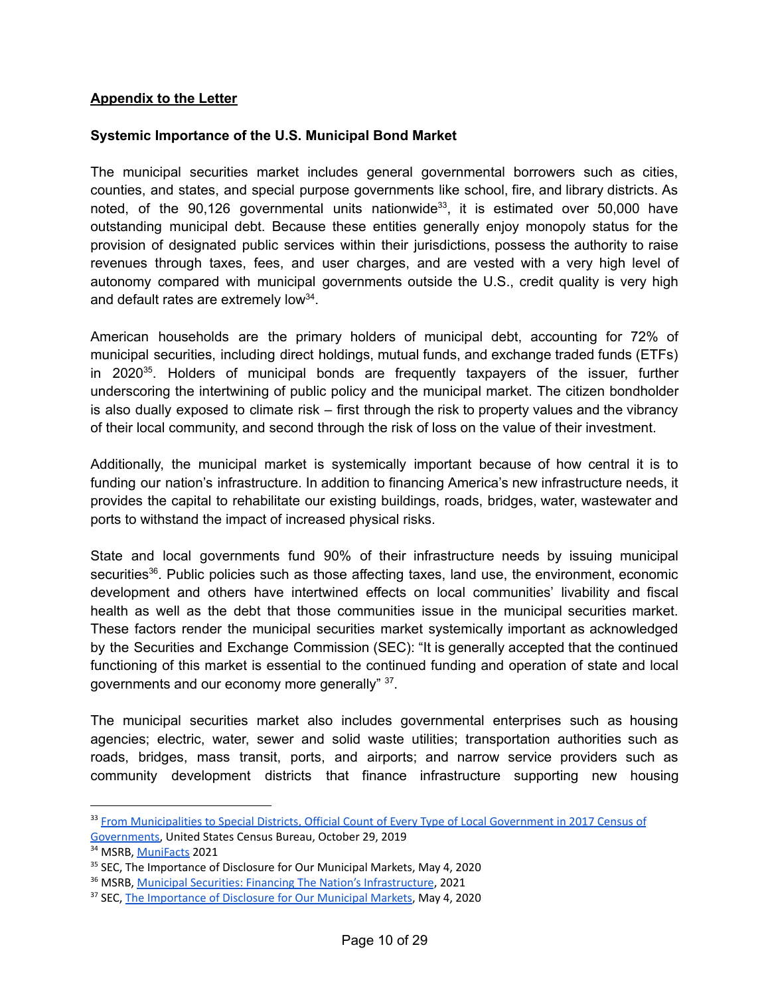#### **Appendix to the Letter**

#### **Systemic Importance of the U.S. Municipal Bond Market**

The municipal securities market includes general governmental borrowers such as cities, counties, and states, and special purpose governments like school, fire, and library districts. As noted, of the 90,126 governmental units nationwide<sup>33</sup>, it is estimated over 50,000 have outstanding municipal debt. Because these entities generally enjoy monopoly status for the provision of designated public services within their jurisdictions, possess the authority to raise revenues through taxes, fees, and user charges, and are vested with a very high level of autonomy compared with municipal governments outside the U.S., credit quality is very high and default rates are extremely low<sup>34</sup>.

American households are the primary holders of municipal debt, accounting for 72% of municipal securities, including direct holdings, mutual funds, and exchange traded funds (ETFs) in 2020<sup>35</sup>. Holders of municipal bonds are frequently taxpayers of the issuer, further underscoring the intertwining of public policy and the municipal market. The citizen bondholder is also dually exposed to climate risk – first through the risk to property values and the vibrancy of their local community, and second through the risk of loss on the value of their investment.

Additionally, the municipal market is systemically important because of how central it is to funding our nation's infrastructure. In addition to financing America's new infrastructure needs, it provides the capital to rehabilitate our existing buildings, roads, bridges, water, wastewater and ports to withstand the impact of increased physical risks.

State and local governments fund 90% of their infrastructure needs by issuing municipal securities<sup>36</sup>. Public policies such as those affecting taxes, land use, the environment, economic development and others have intertwined effects on local communities' livability and fiscal health as well as the debt that those communities issue in the municipal securities market. These factors render the municipal securities market systemically important as acknowledged by the Securities and Exchange Commission (SEC): "It is generally accepted that the continued functioning of this market is essential to the continued funding and operation of state and local governments and our economy more generally" 37.

The municipal securities market also includes governmental enterprises such as housing agencies; electric, water, sewer and solid waste utilities; transportation authorities such as roads, bridges, mass transit, ports, and airports; and narrow service providers such as community development districts that finance infrastructure supporting new housing

<sup>&</sup>lt;sup>33</sup> From [Municipalities](https://www.census.gov/library/publications/2019/econ/from_municipalities_to_special_districts.html) to Special Districts, Official Count of Every Type of Local Government in 2017 Census of [Governments](https://www.census.gov/library/publications/2019/econ/from_municipalities_to_special_districts.html), United States Census Bureau, October 29, 2019

<sup>&</sup>lt;sup>34</sup> MSRB, [MuniFacts](https://www.msrb.org/msrb1/pdfs/MSRB-Muni-Facts.pdf) 2021

<sup>&</sup>lt;sup>35</sup> SEC. The Importance of Disclosure for Our Municipal Markets, May 4, 2020

<sup>&</sup>lt;sup>36</sup> MSRB, Municipal Securities: Financing The Nation's [Infrastructure](https://www.msrb.org/~/media/Files/Resources/MSRB-Infrastructure-Primer.ashx), 2021

<sup>&</sup>lt;sup>37</sup> SEC, The [Importance](https://www.sec.gov/news/public-statement/statement-clayton-olsen-2020-05-04) of Disclosure for Our Municipal Markets, May 4, 2020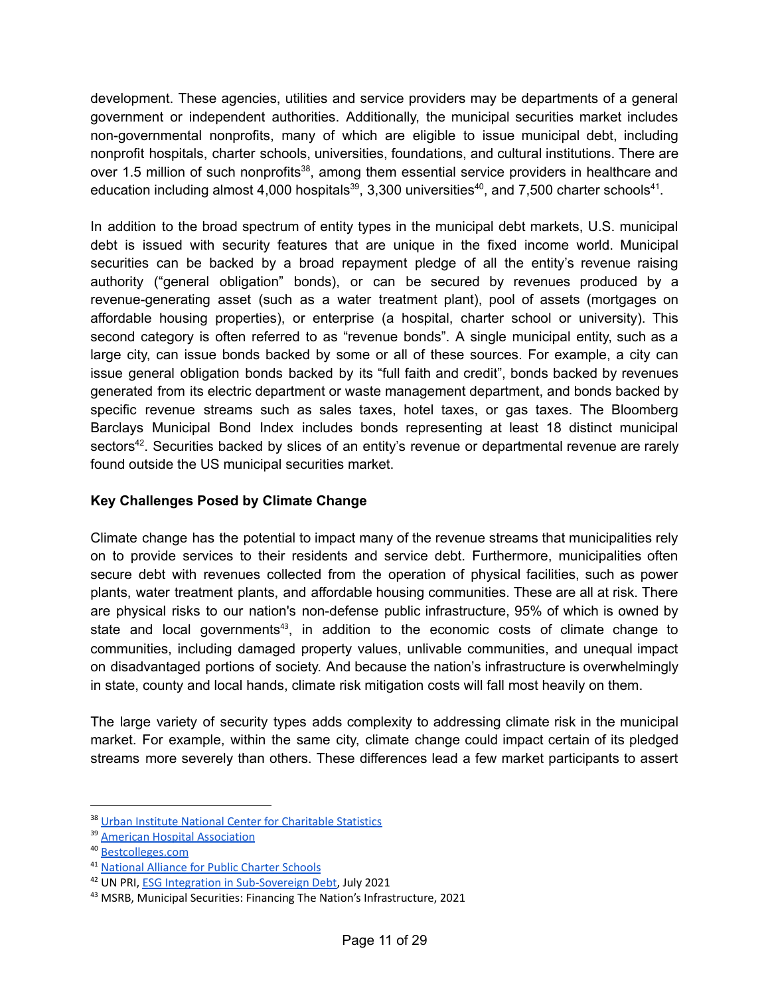development. These agencies, utilities and service providers may be departments of a general government or independent authorities. Additionally, the municipal securities market includes non-governmental nonprofits, many of which are eligible to issue municipal debt, including nonprofit hospitals, charter schools, universities, foundations, and cultural institutions. There are over 1.5 million of such nonprofits<sup>38</sup>, among them essential service providers in healthcare and education including almost 4,000 hospitals<sup>39</sup>, 3,300 universities<sup>40</sup>, and 7,500 charter schools<sup>41</sup>.

In addition to the broad spectrum of entity types in the municipal debt markets, U.S. municipal debt is issued with security features that are unique in the fixed income world. Municipal securities can be backed by a broad repayment pledge of all the entity's revenue raising authority ("general obligation" bonds), or can be secured by revenues produced by a revenue-generating asset (such as a water treatment plant), pool of assets (mortgages on affordable housing properties), or enterprise (a hospital, charter school or university). This second category is often referred to as "revenue bonds". A single municipal entity, such as a large city, can issue bonds backed by some or all of these sources. For example, a city can issue general obligation bonds backed by its "full faith and credit", bonds backed by revenues generated from its electric department or waste management department, and bonds backed by specific revenue streams such as sales taxes, hotel taxes, or gas taxes. The Bloomberg Barclays Municipal Bond Index includes bonds representing at least 18 distinct municipal sectors<sup>42</sup>. Securities backed by slices of an entity's revenue or departmental revenue are rarely found outside the US municipal securities market.

#### **Key Challenges Posed by Climate Change**

Climate change has the potential to impact many of the revenue streams that municipalities rely on to provide services to their residents and service debt. Furthermore, municipalities often secure debt with revenues collected from the operation of physical facilities, such as power plants, water treatment plants, and affordable housing communities. These are all at risk. There are physical risks to our nation's non-defense public infrastructure, 95% of which is owned by state and local governments<sup>43</sup>, in addition to the economic costs of climate change to communities, including damaged property values, unlivable communities, and unequal impact on disadvantaged portions of society. And because the nation's infrastructure is overwhelmingly in state, county and local hands, climate risk mitigation costs will fall most heavily on them.

The large variety of security types adds complexity to addressing climate risk in the municipal market. For example, within the same city, climate change could impact certain of its pledged streams more severely than others. These differences lead a few market participants to assert

<sup>&</sup>lt;sup>38</sup> Urban Institute National Center for [Charitable](https://nccs.urban.org/publication/nonprofit-sector-brief-2019#the-nonprofit-sector-in-brief-2019) Statistics

<sup>&</sup>lt;sup>39</sup> American Hospital [Association](https://www.aha.org/statistics/fast-facts-us-hospitals)

<sup>40</sup> [Bestcolleges.com](https://www.bestcolleges.com/blog/how-many-colleges-in-us/)

<sup>41</sup> [National](https://data.publiccharters.org/digest/charter-school-data-digest/how-many-charter-schools-and-students-are-there/) Alliance for Public Charter Schools

<sup>&</sup>lt;sup>42</sup> UN PRI, ESG Integration in [Sub-Sovereign](https://www.unpri.org/investment-tools/fixed-income/sub-sovereign-debt) Debt, July 2021

<sup>43</sup> MSRB, Municipal Securities: Financing The Nation's Infrastructure, 2021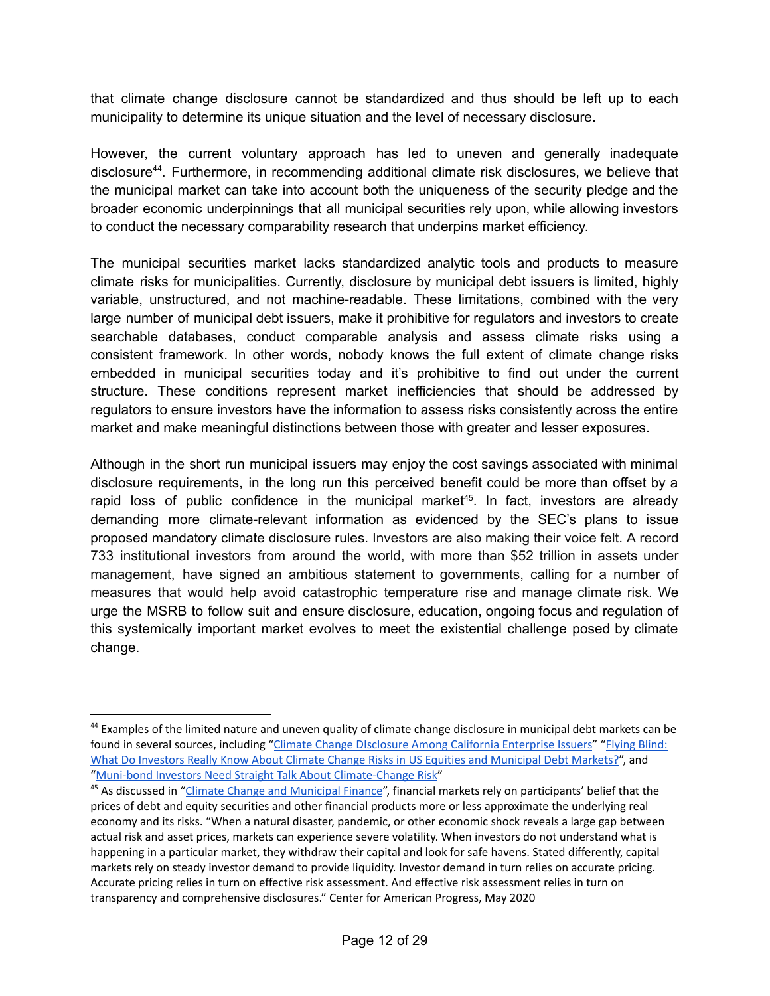that climate change disclosure cannot be standardized and thus should be left up to each municipality to determine its unique situation and the level of necessary disclosure.

However, the current voluntary approach has led to uneven and generally inadequate disclosure<sup>44</sup>. Furthermore, in recommending additional climate risk disclosures, we believe that the municipal market can take into account both the uniqueness of the security pledge and the broader economic underpinnings that all municipal securities rely upon, while allowing investors to conduct the necessary comparability research that underpins market efficiency.

The municipal securities market lacks standardized analytic tools and products to measure climate risks for municipalities. Currently, disclosure by municipal debt issuers is limited, highly variable, unstructured, and not machine-readable. These limitations, combined with the very large number of municipal debt issuers, make it prohibitive for regulators and investors to create searchable databases, conduct comparable analysis and assess climate risks using a consistent framework. In other words, nobody knows the full extent of climate change risks embedded in municipal securities today and it's prohibitive to find out under the current structure. These conditions represent market inefficiencies that should be addressed by regulators to ensure investors have the information to assess risks consistently across the entire market and make meaningful distinctions between those with greater and lesser exposures.

Although in the short run municipal issuers may enjoy the cost savings associated with minimal disclosure requirements, in the long run this perceived benefit could be more than offset by a rapid loss of public confidence in the municipal market<sup>45</sup>. In fact, investors are already demanding more climate-relevant information as evidenced by the SEC's plans to issue proposed mandatory climate disclosure rules. Investors are also making their voice felt. A record 733 institutional investors from around the world, with more than \$52 trillion in assets under management, have signed an ambitious statement to governments, calling for a number of measures that would help avoid catastrophic temperature rise and manage climate risk. We urge the MSRB to follow suit and ensure disclosure, education, ongoing focus and regulation of this systemically important market evolves to meet the existential challenge posed by climate change.

<sup>&</sup>lt;sup>44</sup> Examples of the limited nature and uneven quality of climate change disclosure in municipal debt markets can be found in several sources, including "Climate Change [DIsclosure](https://www.bbklaw.com/getmedia/47be6baf-f9c4-407e-aef9-c96cb94a1eae/climate-disclosure-report.pdf) Among California Enterprise Issuers" "[Flying](https://www.brookings.edu/wp-content/uploads/2020/09/WP67_Victor-et-al.pdf) Blind: What Do Investors Really Know About Climate Change Risks in US Equities and [Municipal](https://www.brookings.edu/wp-content/uploads/2020/09/WP67_Victor-et-al.pdf) Debt Markets?", and "Muni-bond Investors Need Straight Talk About [Climate-Change](https://www.marketwatch.com/story/muni-bond-investors-need-straight-talk-about-climate-change-risk-11617001961) Risk"

<sup>&</sup>lt;sup>45</sup> As discussed in "Climate Change and [Municipal](https://www.americanprogress.org/issues/economy/reports/2020/05/06/484173/climate-change-municipal-finance/) Finance", financial markets rely on participants' belief that the prices of debt and equity securities and other financial products more or less approximate the underlying real economy and its risks. "When a natural disaster, pandemic, or other economic shock reveals a large gap between actual risk and asset prices, markets can experience severe volatility. When investors do not understand what is happening in a particular market, they withdraw their capital and look for safe havens. Stated differently, capital markets rely on steady investor demand to provide liquidity. Investor demand in turn relies on accurate pricing. Accurate pricing relies in turn on effective risk assessment. And effective risk assessment relies in turn on transparency and comprehensive disclosures." Center for American Progress, May 2020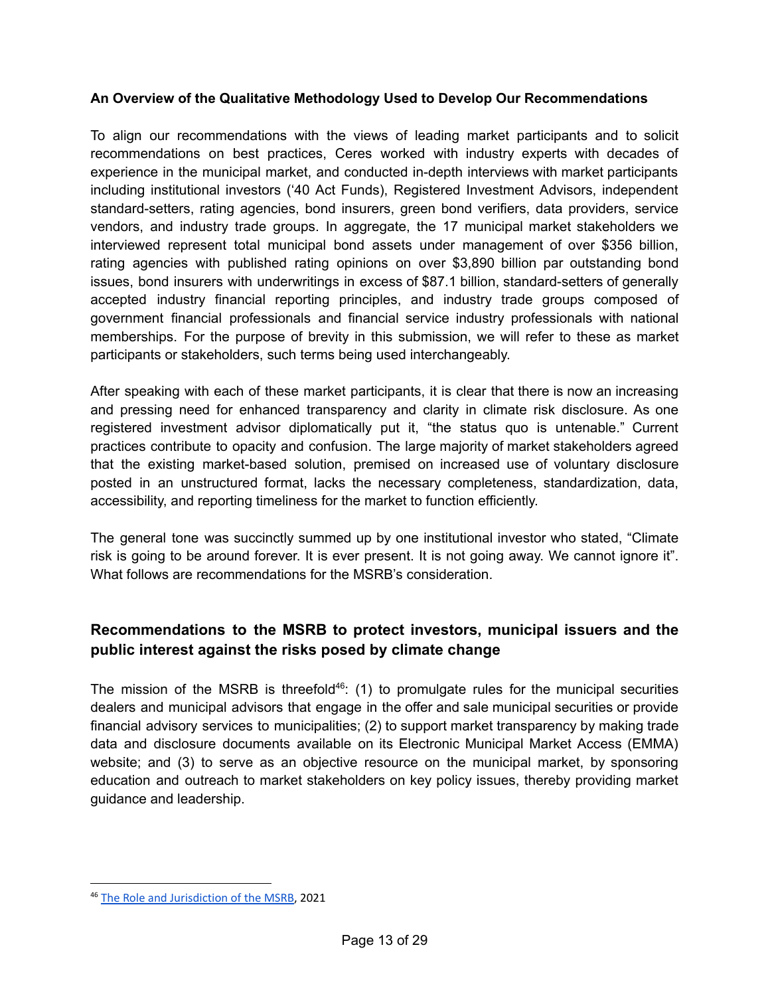#### **An Overview of the Qualitative Methodology Used to Develop Our Recommendations**

To align our recommendations with the views of leading market participants and to solicit recommendations on best practices, Ceres worked with industry experts with decades of experience in the municipal market, and conducted in-depth interviews with market participants including institutional investors ('40 Act Funds), Registered Investment Advisors, independent standard-setters, rating agencies, bond insurers, green bond verifiers, data providers, service vendors, and industry trade groups. In aggregate, the 17 municipal market stakeholders we interviewed represent total municipal bond assets under management of over \$356 billion, rating agencies with published rating opinions on over \$3,890 billion par outstanding bond issues, bond insurers with underwritings in excess of \$87.1 billion, standard-setters of generally accepted industry financial reporting principles, and industry trade groups composed of government financial professionals and financial service industry professionals with national memberships. For the purpose of brevity in this submission, we will refer to these as market participants or stakeholders, such terms being used interchangeably.

After speaking with each of these market participants, it is clear that there is now an increasing and pressing need for enhanced transparency and clarity in climate risk disclosure. As one registered investment advisor diplomatically put it, "the status quo is untenable." Current practices contribute to opacity and confusion. The large majority of market stakeholders agreed that the existing market-based solution, premised on increased use of voluntary disclosure posted in an unstructured format, lacks the necessary completeness, standardization, data, accessibility, and reporting timeliness for the market to function efficiently.

The general tone was succinctly summed up by one institutional investor who stated, "Climate risk is going to be around forever. It is ever present. It is not going away. We cannot ignore it". What follows are recommendations for the MSRB's consideration.

# **Recommendations to the MSRB to protect investors, municipal issuers and the public interest against the risks posed by climate change**

The mission of the MSRB is threefold<sup>46</sup>: (1) to promulgate rules for the municipal securities dealers and municipal advisors that engage in the offer and sale municipal securities or provide financial advisory services to municipalities; (2) to support market transparency by making trade data and disclosure documents available on its Electronic Municipal Market Access (EMMA) website; and (3) to serve as an objective resource on the municipal market, by sponsoring education and outreach to market stakeholders on key policy issues, thereby providing market guidance and leadership.

<sup>&</sup>lt;sup>46</sup> The Role and [Jurisdiction](https://www.msrb.org/msrb1/pdfs/Role-and-Jurisdiction-of-MSRB.pdf) of the MSRB, 2021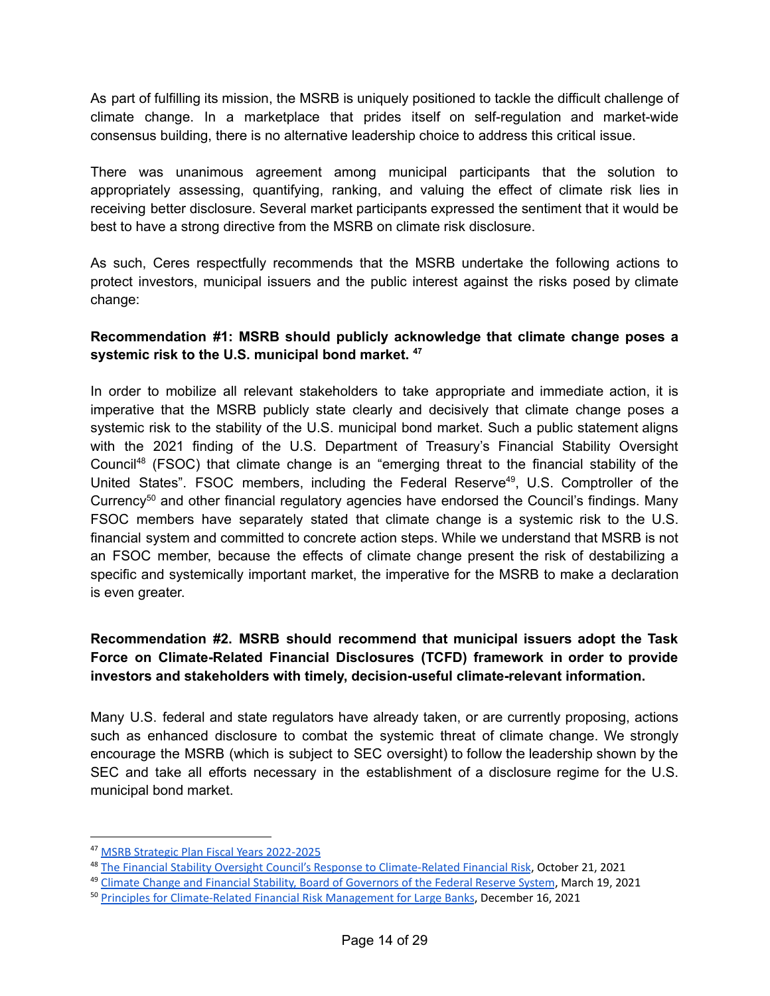As part of fulfilling its mission, the MSRB is uniquely positioned to tackle the difficult challenge of climate change. In a marketplace that prides itself on self-regulation and market-wide consensus building, there is no alternative leadership choice to address this critical issue.

There was unanimous agreement among municipal participants that the solution to appropriately assessing, quantifying, ranking, and valuing the effect of climate risk lies in receiving better disclosure. Several market participants expressed the sentiment that it would be best to have a strong directive from the MSRB on climate risk disclosure.

As such, Ceres respectfully recommends that the MSRB undertake the following actions to protect investors, municipal issuers and the public interest against the risks posed by climate change:

#### **Recommendation #1: MSRB should publicly acknowledge that climate change poses a systemic risk to the U.S. municipal bond market. 47**

In order to mobilize all relevant stakeholders to take appropriate and immediate action, it is imperative that the MSRB publicly state clearly and decisively that climate change poses a systemic risk to the stability of the U.S. municipal bond market. Such a public statement aligns with the 2021 finding of the U.S. Department of Treasury's Financial Stability Oversight Council<sup>48</sup> (FSOC) that climate change is an "emerging threat to the financial stability of the United States". FSOC members, including the Federal Reserve<sup>49</sup>, U.S. Comptroller of the Currency<sup>50</sup> and other financial regulatory agencies have endorsed the Council's findings. Many FSOC members have separately stated that climate change is a systemic risk to the U.S. financial system and committed to concrete action steps. While we understand that MSRB is not an FSOC member, because the effects of climate change present the risk of destabilizing a specific and systemically important market, the imperative for the MSRB to make a declaration is even greater.

# **Recommendation #2. MSRB should recommend that municipal issuers adopt the Task Force on Climate-Related Financial Disclosures (TCFD) framework in order to provide investors and stakeholders with timely, decision-useful climate-relevant information.**

Many U.S. federal and state regulators have already taken, or are currently proposing, actions such as enhanced disclosure to combat the systemic threat of climate change. We strongly encourage the MSRB (which is subject to SEC oversight) to follow the leadership shown by the SEC and take all efforts necessary in the establishment of a disclosure regime for the U.S. municipal bond market.

<sup>47</sup> MSRB Strategic Plan Fiscal Years [2022-2025](https://msrb.org/-/media/Files/Resources/MSRB-Strategic-Plan-2022-2025.ashx?)

<sup>&</sup>lt;sup>48</sup> The Financial Stability Oversight Council's Response to [Climate-Related](https://home.treasury.gov/system/files/136/FACT-SHEET-The-Financial-Stability-Oversight-Councils-Response-to-Climate-Related-Financial-Risk.pdf) Financial Risk, October 21, 2021

<sup>&</sup>lt;sup>49</sup> Climate Change and Financial Stability, Board of [Governors](https://www.federalreserve.gov/econres/notes/feds-notes/climate-change-and-financial-stability-20210319.htm) of the Federal Reserve System, March 19, 2021

<sup>&</sup>lt;sup>50</sup> Principles for [Climate-Related](https://www.occ.treas.gov/news-issuances/news-releases/2021/nr-occ-2021-138a.pdf) Financial Risk Management for Large Banks, December 16, 2021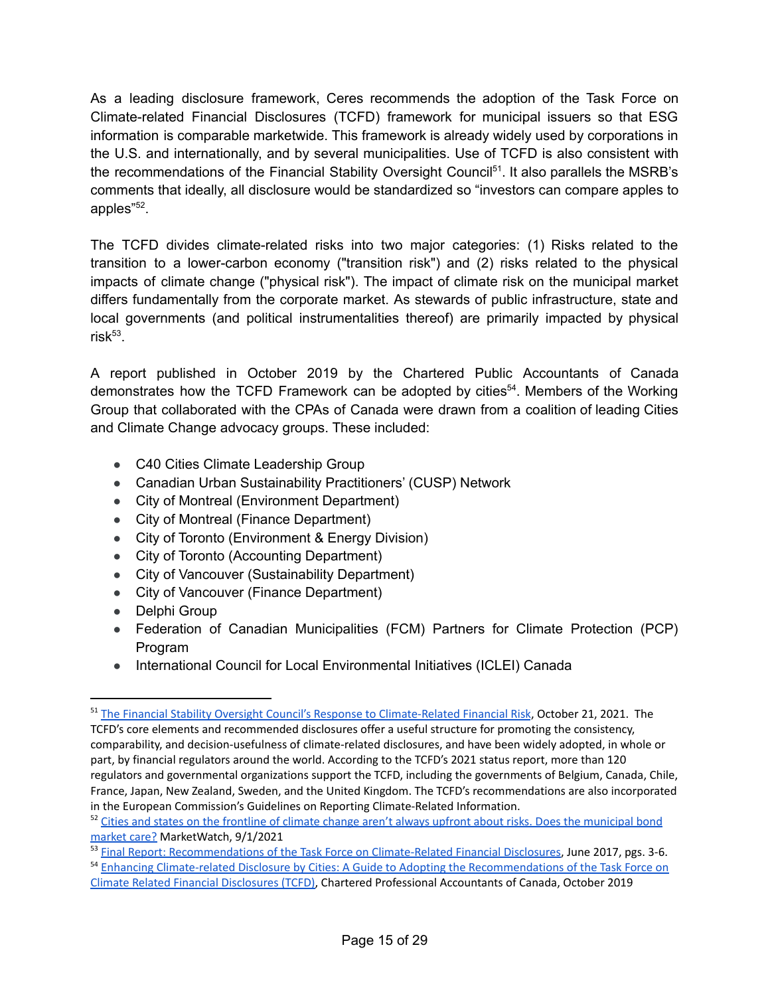As a leading disclosure framework, Ceres recommends the adoption of the Task Force on Climate-related Financial Disclosures (TCFD) framework for municipal issuers so that ESG information is comparable marketwide. This framework is already widely used by corporations in the U.S. and internationally, and by several municipalities. Use of TCFD is also consistent with the recommendations of the Financial Stability Oversight Council<sup>51</sup>. It also parallels the MSRB's comments that ideally, all disclosure would be standardized so "investors can compare apples to apples"<sup>52</sup>.

The TCFD divides climate-related risks into two major categories: (1) Risks related to the transition to a lower-carbon economy ("transition risk") and (2) risks related to the physical impacts of climate change ("physical risk"). The impact of climate risk on the municipal market differs fundamentally from the corporate market. As stewards of public infrastructure, state and local governments (and political instrumentalities thereof) are primarily impacted by physical risk 53 .

A report published in October 2019 by the Chartered Public Accountants of Canada demonstrates how the TCFD Framework can be adopted by cities<sup>54</sup>. Members of the Working Group that collaborated with the CPAs of Canada were drawn from a coalition of leading Cities and Climate Change advocacy groups. These included:

- C40 Cities Climate Leadership Group
- Canadian Urban Sustainability Practitioners' (CUSP) Network
- City of Montreal (Environment Department)
- City of Montreal (Finance Department)
- City of Toronto (Environment & Energy Division)
- City of Toronto (Accounting Department)
- City of Vancouver (Sustainability Department)
- City of Vancouver (Finance Department)
- Delphi Group
- Federation of Canadian Municipalities (FCM) Partners for Climate Protection (PCP) Program
- International Council for Local Environmental Initiatives (ICLEI) Canada

<sup>&</sup>lt;sup>51</sup> The Financial Stability Oversight Council's Response to [Climate-Related](https://home.treasury.gov/system/files/136/FACT-SHEET-The-Financial-Stability-Oversight-Councils-Response-to-Climate-Related-Financial-Risk.pdf) Financial Risk, October 21, 2021. The TCFD's core elements and recommended disclosures offer a useful structure for promoting the consistency, comparability, and decision-usefulness of climate-related disclosures, and have been widely adopted, in whole or part, by financial regulators around the world. According to the TCFD's 2021 status report, more than 120 regulators and governmental organizations support the TCFD, including the governments of Belgium, Canada, Chile, France, Japan, New Zealand, Sweden, and the United Kingdom. The TCFD's recommendations are also incorporated in the European Commission's Guidelines on Reporting Climate-Related Information.

<sup>&</sup>lt;sup>52</sup> Cities and states on the frontline of climate change aren't always upfront about risks. Does the [municipal](https://www.marketwatch.com/story/cities-and-states-on-the-frontline-of-climate-change-arent-always-upfront-about-risks-does-the-municipal-bond-market-care-11629985034) bond [market](https://www.marketwatch.com/story/cities-and-states-on-the-frontline-of-climate-change-arent-always-upfront-about-risks-does-the-municipal-bond-market-care-11629985034) care? MarketWatch, 9/1/2021

<sup>&</sup>lt;sup>53</sup> Final Report: [Recommendations](https://assets.bbhub.io/company/sites/60/2020/10/FINAL-2017-TCFD-Report-11052018.pdf) of the Task Force on Climate-Related Financial Disclosures, June 2017, pgs. 3-6.

<sup>&</sup>lt;sup>54</sup> Enhancing Climate-related Disclosure by Cities: A Guide to Adopting the [Recommendations](https://www.cpacanada.ca/-/media/site/operational/rg-research-guidance-and-support/docs/02337-rg-tcfd-guidance-for-cities-feb-2020.pdf?la=en&hash=12B7DF96425FB2FDCE7D1EBA674DCD081891721D) of the Task Force on Climate Related Financial [Disclosures](https://www.cpacanada.ca/-/media/site/operational/rg-research-guidance-and-support/docs/02337-rg-tcfd-guidance-for-cities-feb-2020.pdf?la=en&hash=12B7DF96425FB2FDCE7D1EBA674DCD081891721D) (TCFD), Chartered Professional Accountants of Canada, October 2019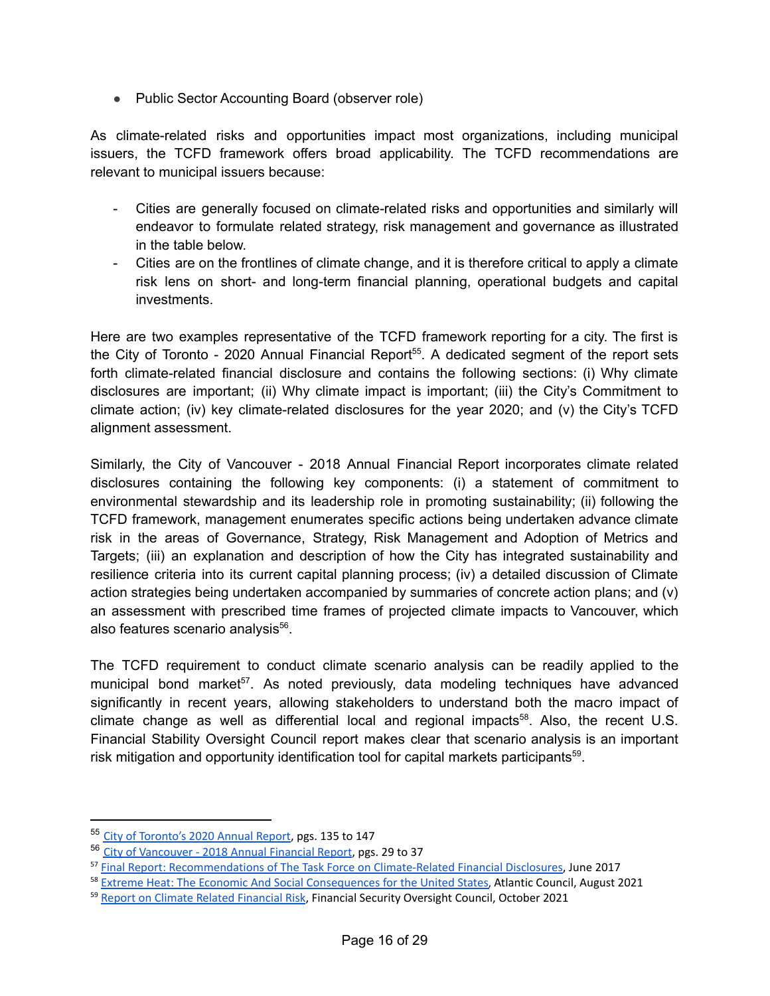● Public Sector Accounting Board (observer role)

As climate-related risks and opportunities impact most organizations, including municipal issuers, the TCFD framework offers broad applicability. The TCFD recommendations are relevant to municipal issuers because:

- Cities are generally focused on climate-related risks and opportunities and similarly will endeavor to formulate related strategy, risk management and governance as illustrated in the table below.
- Cities are on the frontlines of climate change, and it is therefore critical to apply a climate risk lens on short- and long-term financial planning, operational budgets and capital investments.

Here are two examples representative of the TCFD framework reporting for a city. The first is the City of Toronto - 2020 Annual Financial Report<sup>55</sup>. A dedicated segment of the report sets forth climate-related financial disclosure and contains the following sections: (i) Why climate disclosures are important; (ii) Why climate impact is important; (iii) the City's Commitment to climate action; (iv) key climate-related disclosures for the year 2020; and (v) the City's TCFD alignment assessment.

Similarly, the City of Vancouver - 2018 Annual Financial Report incorporates climate related disclosures containing the following key components: (i) a statement of commitment to environmental stewardship and its leadership role in promoting sustainability; (ii) following the TCFD framework, management enumerates specific actions being undertaken advance climate risk in the areas of Governance, Strategy, Risk Management and Adoption of Metrics and Targets; (iii) an explanation and description of how the City has integrated sustainability and resilience criteria into its current capital planning process; (iv) a detailed discussion of Climate action strategies being undertaken accompanied by summaries of concrete action plans; and (v) an assessment with prescribed time frames of projected climate impacts to Vancouver, which also features scenario analysis<sup>56</sup>.

The TCFD requirement to conduct climate scenario analysis can be readily applied to the municipal bond market<sup>57</sup>. As noted previously, data modeling techniques have advanced significantly in recent years, allowing stakeholders to understand both the macro impact of climate change as well as differential local and regional impacts<sup>58</sup>. Also, the recent U.S. Financial Stability Oversight Council report makes clear that scenario analysis is an important risk mitigation and opportunity identification tool for capital markets participants<sup>59</sup>.

<sup>55</sup> City of [Toronto's](https://www.toronto.ca/wp-content/uploads/2021/09/95b7-YE-2020-City-of-Toronto-Annual-Financial-Report.pdf) 2020 Annual Report, pgs. 135 to 147

<sup>56</sup> City of [Vancouver](https://www.cityofvancouver.us/sites/default/files/fileattachments/financial_and_management_services/page/1060/cov_2018_cafr_final-a.pdf) - 2018 Annual Financial Report, pgs. 29 to 37

<sup>57</sup> Final Report: [Recommendations](https://assets.bbhub.io/company/sites/60/2020/10/FINAL-2017-TCFD-Report-11052018.pdf) of The Task Force on Climate-Related Financial Disclosures, June 2017

<sup>&</sup>lt;sup>58</sup> Extreme Heat: The Economic And Social [Consequences](https://www.atlanticcouncil.org/wp-content/uploads/2021/08/Extreme-Heat-Report-2021.pdf) for the United States, Atlantic Council, August 2021

<sup>&</sup>lt;sup>59</sup> Report on Climate Related [Financial](https://home.treasury.gov/system/files/261/FSOC-Climate-Report.pdf) Risk, Financial Security Oversight Council, October 2021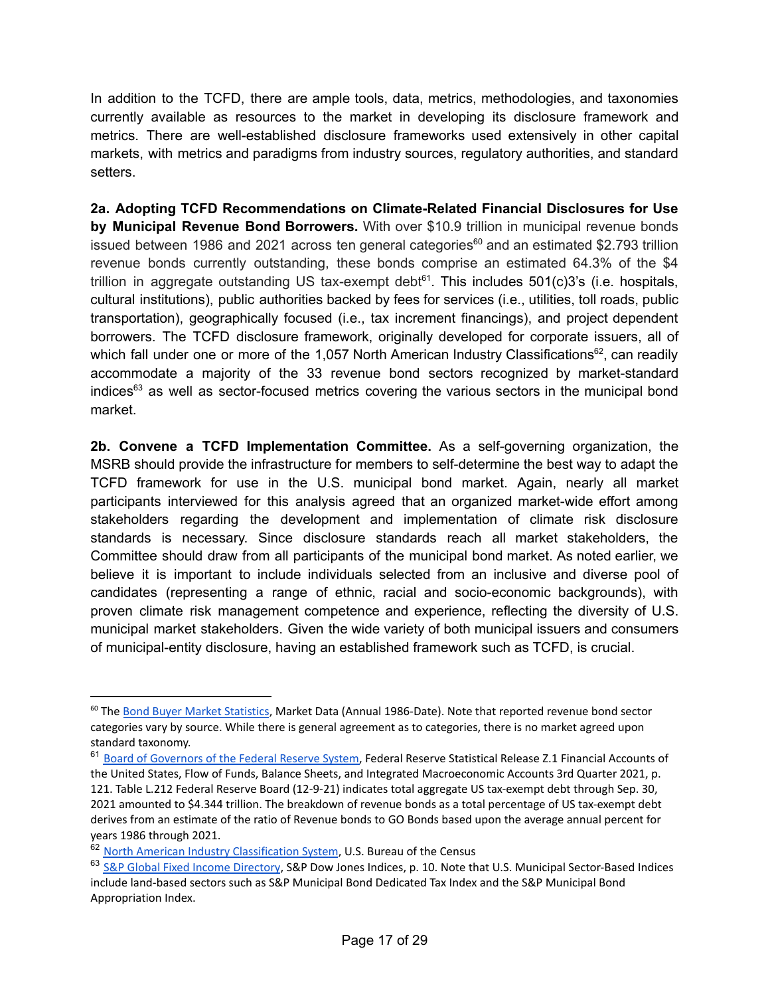In addition to the TCFD, there are ample tools, data, metrics, methodologies, and taxonomies currently available as resources to the market in developing its disclosure framework and metrics. There are well-established disclosure frameworks used extensively in other capital markets, with metrics and paradigms from industry sources, regulatory authorities, and standard setters.

**2a. Adopting TCFD Recommendations on Climate-Related Financial Disclosures for Use by Municipal Revenue Bond Borrowers.** With over \$10.9 trillion in municipal revenue bonds issued between 1986 and 2021 across ten general categories<sup>60</sup> and an estimated \$2.793 trillion revenue bonds currently outstanding, these bonds comprise an estimated 64.3% of the \$4 trillion in aggregate outstanding US tax-exempt debt<sup>61</sup>. This includes 501(c)3's (i.e. hospitals, cultural institutions), public authorities backed by fees for services (i.e., utilities, toll roads, public transportation), geographically focused (i.e., tax increment financings), and project dependent borrowers. The TCFD disclosure framework, originally developed for corporate issuers, all of which fall under one or more of the 1,057 North American Industry [Classifications](https://www.census.gov/eos/www/naics/2017NAICS/2017_NAICS_Manual.pdf)<sup>62</sup>, can readily accommodate a majority of the 33 revenue bond sectors recognized by market-standard indices<sup>63</sup> as well as sector-focused metrics covering the various sectors in the municipal bond market.

**2b. Convene a TCFD Implementation Committee.** As a self-governing organization, the MSRB should provide the infrastructure for members to self-determine the best way to adapt the TCFD framework for use in the U.S. municipal bond market. Again, nearly all market participants interviewed for this analysis agreed that an organized market-wide effort among stakeholders regarding the development and implementation of climate risk disclosure standards is necessary. Since disclosure standards reach all market stakeholders, the Committee should draw from all participants of the municipal bond market. As noted earlier, we believe it is important to include individuals selected from an inclusive and diverse pool of candidates (representing a range of ethnic, racial and socio-economic backgrounds), with proven climate risk management competence and experience, reflecting the diversity of U.S. municipal market stakeholders. Given the wide variety of both municipal issuers and consumers of municipal-entity disclosure, having an established framework such as TCFD, is crucial.

<sup>&</sup>lt;sup>60</sup> The Bond Buyer Market [Statistics](https://www.bondbuyer.com/broker/bond-buyer-data), Market Data (Annual 1986-Date). Note that reported revenue bond sector categories vary by source. While there is general agreement as to categories, there is no market agreed upon standard taxonomy.

<sup>&</sup>lt;sup>61</sup> Board of [Governors](https://www.federalreserve.gov/releases/z1/20211209/z1.pdf) of the Federal Reserve System, Federal Reserve Statistical Release Z.1 Financial Accounts of the United States, Flow of Funds, Balance Sheets, and Integrated Macroeconomic Accounts 3rd Quarter 2021, p. 121. Table L.212 Federal Reserve Board (12-9-21) indicates total aggregate US tax-exempt debt through Sep. 30, 2021 amounted to \$4.344 trillion. The breakdown of revenue bonds as a total percentage of US tax-exempt debt derives from an estimate of the ratio of Revenue bonds to GO Bonds based upon the average annual percent for years 1986 through 2021.

<sup>62</sup> North American Industry [Classification](https://www.census.gov/naics/) System, U.S. Bureau of the Census

<sup>63</sup> S&P Global Fixed Income [Directory](https://www.spglobal.com/spdji/en/documents/ticker-info-sheets/spdji-fixed-income-index-directory.pdf), S&P Dow Jones Indices, p. 10. Note that U.S. Municipal Sector-Based Indices include land-based sectors such as S&P Municipal Bond Dedicated Tax Index and the S&P Municipal Bond Appropriation Index.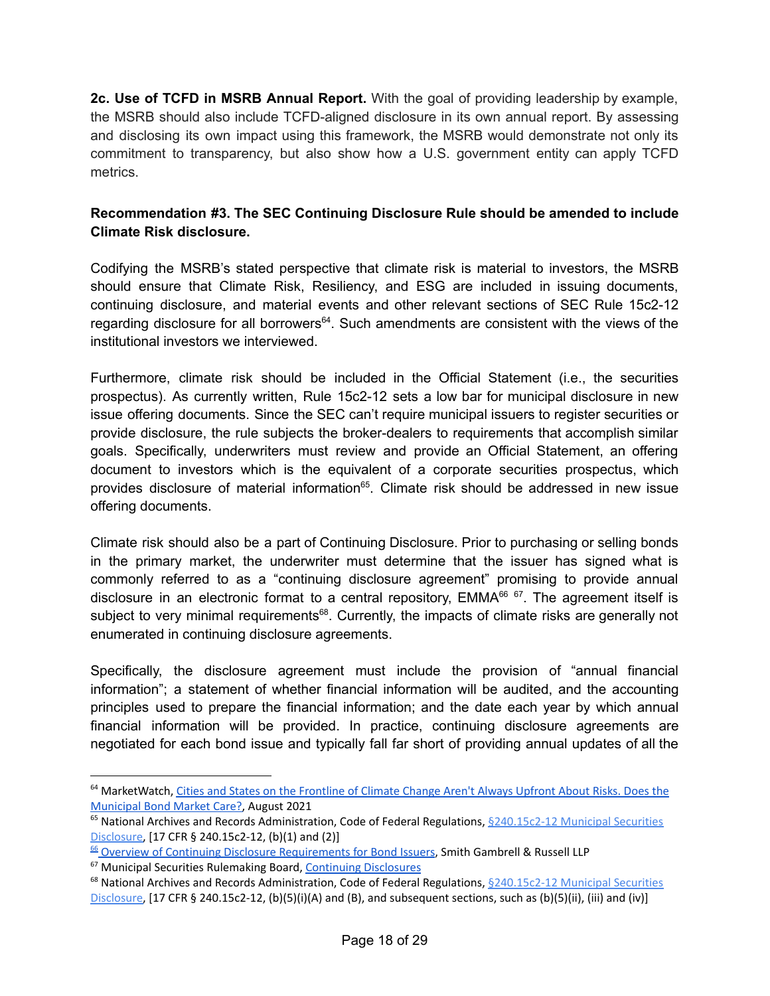**2c. Use of TCFD in MSRB Annual Report.** With the goal of providing leadership by example, the MSRB should also include TCFD-aligned disclosure in its own annual report. By assessing and disclosing its own impact using this framework, the MSRB would demonstrate not only its commitment to transparency, but also show how a U.S. government entity can apply TCFD metrics.

# **Recommendation #3. The SEC Continuing Disclosure Rule should be amended to include Climate Risk disclosure.**

Codifying the MSRB's stated perspective that climate risk is material to investors, the MSRB should ensure that Climate Risk, Resiliency, and ESG are included in issuing documents, continuing disclosure, and material events and other relevant sections of SEC Rule 15c2-12 regarding disclosure for all borrowers<sup>64</sup>. Such amendments are consistent with the views of the institutional investors we interviewed.

Furthermore, climate risk should be included in the Official Statement (i.e., the securities prospectus). As currently written, Rule 15c2-12 sets a low bar for municipal disclosure in new issue offering documents. Since the SEC can't require municipal issuers to register securities or provide disclosure, the rule subjects the broker-dealers to requirements that accomplish similar goals. Specifically, underwriters must review and provide an Official Statement, an offering document to investors which is the equivalent of a corporate securities prospectus, which provides disclosure of material information<sup>65</sup>. Climate risk should be addressed in new issue offering documents.

Climate risk should also be a part of Continuing Disclosure. Prior to purchasing or selling bonds in the primary market, the underwriter must determine that the issuer has signed what is commonly referred to as a "continuing disclosure agreement" promising to provide annual disclosure in an electronic format to a central repository, EMMA<sup>66 67</sup>. The agreement itself is subject to very minimal requirements<sup>68</sup>. Currently, the impacts of climate risks are generally not enumerated in continuing disclosure agreements.

Specifically, the disclosure agreement must include the provision of "annual financial information"; a statement of whether financial information will be audited, and the accounting principles used to prepare the financial information; and the date each year by which annual financial information will be provided. In practice, continuing disclosure agreements are negotiated for each bond issue and typically fall far short of providing annual updates of all the

<sup>&</sup>lt;sup>64</sup> MarketWatch, Cities and States on the [Frontline](https://www.marketwatch.com/story/cities-and-states-on-the-frontline-of-climate-change-arent-always-upfront-about-risks-does-the-municipal-bond-market-care-11629985034?reflink=mw_share_linkedin) of Climate Change Aren't Always Upfront About Risks. Does the [Municipal](https://www.marketwatch.com/story/cities-and-states-on-the-frontline-of-climate-change-arent-always-upfront-about-risks-does-the-municipal-bond-market-care-11629985034?reflink=mw_share_linkedin) Bond Market Care?, August 2021

<sup>&</sup>lt;sup>65</sup> National Archives and Records Administration, Code of Federal Regulations,  $\frac{6240.15c2-12}{2}$  $\frac{6240.15c2-12}{2}$  $\frac{6240.15c2-12}{2}$  Municipal Securities [Disclosure,](https://www.ecfr.gov/current/title-17/chapter-II/part-240/subject-group-ECFRc8401dcba174f73/section-240.15c2-12) [17 CFR § 240.15c2-12, (b)(1) and (2)]

<sup>66</sup> Overview of Continuing Disclosure [Requirements](https://www.sgrlaw.com/briefings/973/) for Bond Issuers, Smith Gambrell & Russell LLP

<sup>67</sup> Municipal Securities Rulemaking Board, Continuing [Disclosures](https://www.msrb.org/Market-Transparency/Continuing-Disclosure)

<sup>&</sup>lt;sup>68</sup> National Archives and Records Administration, Code of Federal Regulations, §[240.15c2-12](https://www.ecfr.gov/current/title-17/chapter-II/part-240/subject-group-ECFRc8401dcba174f73/section-240.15c2-12) Municipal Securities [Disclosure,](https://www.ecfr.gov/current/title-17/chapter-II/part-240/subject-group-ECFRc8401dcba174f73/section-240.15c2-12) [17 CFR § 240.15c2-12, (b)(5)(i)(A) and (B), and subsequent sections, such as (b)(5)(ii), (iii) and (iv)]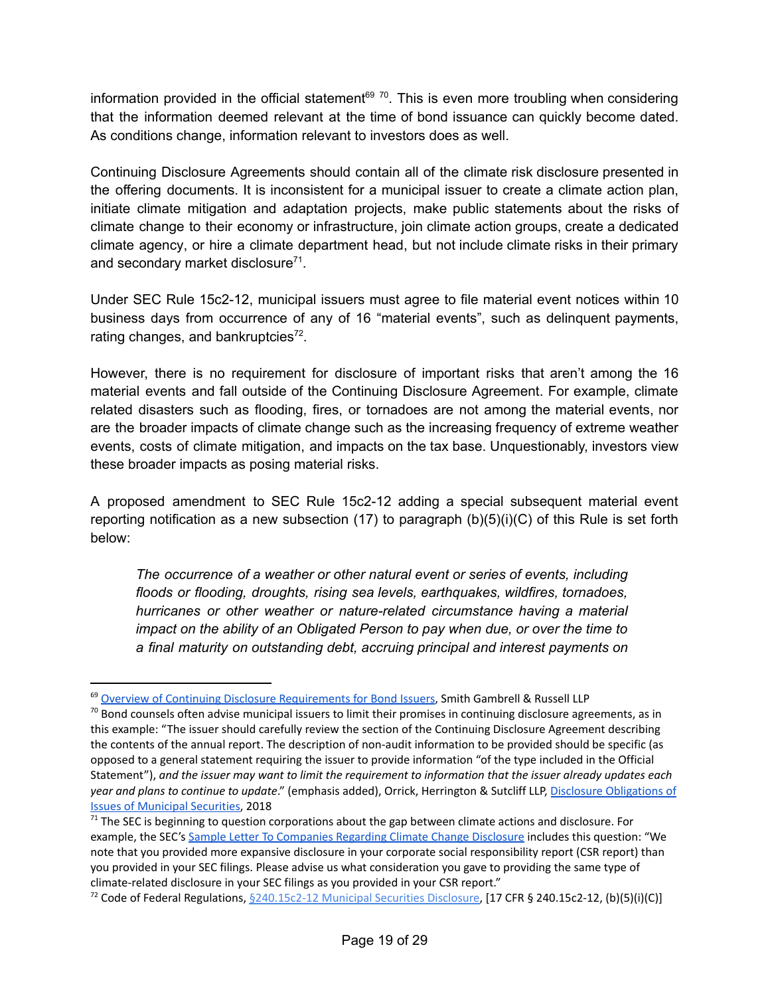information provided in the official statement<sup>69 70</sup>. This is even more troubling when considering that the information deemed relevant at the time of bond issuance can quickly become dated. As conditions change, information relevant to investors does as well.

Continuing Disclosure Agreements should contain all of the climate risk disclosure presented in the offering documents. It is inconsistent for a municipal issuer to create a [climate](https://www.boston.gov/departments/environment/boston-climate-action) action plan, initiate climate mitigation and [adaptation](https://yaleclimateconnections.org/2017/10/cedar-rapids-adapts-to-worsening-floods/) projects, make public [statements](https://www.miamigov.com/Notices/News-Media/City-Unveils-Two-Major-Climate-Initiatives-on-Earth-Day) about the risks of climate change to their economy or infrastructure, join [climate](https://www.usclimatealliance.org/) action groups, create a dedicated climate [agency](https://insideclimatenews.org/news/05022019/michigan-whitmer-office-climate-change-energy-filnt-water-policies-climate-alliance/), or hire a [climate](https://www.upi.com/Top_News/US/2019/08/26/Climate-change-czars-coming-to-more-states/8481565642000/) department head, but not include climate risks in their primary and secondary market disclosure<sup>71</sup>.

Under SEC Rule 15c2-12, municipal issuers must agree to file material event notices within 10 business days from occurrence of any of 16 ["material](https://msrb.org/~/media/Files/Resources/10-Things-to-Know-New-SEC-Rule-15c2-12.ashx) events", such as delinquent payments, rating changes, and bankruptcies<sup>72</sup>.

However, there is no requirement for disclosure of important risks that aren't among the 16 material events and fall outside of the Continuing Disclosure Agreement. For example, climate related disasters such as flooding, fires, or tornadoes are not among the material events, nor are the broader impacts of climate change such as the increasing frequency of extreme weather events, costs of climate mitigation, and impacts on the tax base. Unquestionably, investors view these broader impacts as posing material risks.

A proposed amendment to SEC Rule 15c2-12 adding a special subsequent material event reporting notification as a new subsection  $(17)$  to paragraph  $(b)(5)(i)(C)$  of this Rule is set forth below:

*The occurrence of a weather or other natural event or series of events, including floods or flooding, droughts, rising sea levels, earthquakes, wildfires, tornadoes, hurricanes or other weather or nature-related circumstance having a material impact on the ability of an Obligated Person to pay when due, or over the time to a final maturity on outstanding debt, accruing principal and interest payments on*

<sup>&</sup>lt;sup>69</sup> Overview of Continuing Disclosure [Requirements](https://www.sgrlaw.com/briefings/973/) for Bond Issuers, Smith Gambrell & Russell LLP

 $70$  Bond counsels often advise municipal issuers to limit their promises in continuing disclosure agreements, as in this example: "The issuer should carefully review the section of the Continuing Disclosure Agreement describing the contents of the annual report. The description of non-audit information to be provided should be specific (as opposed to a general statement requiring the issuer to provide information "of the type included in the Official Statement"), and the issuer may want to limit the requirement to information that the issuer already updates each *year and plans to continue to update*." (emphasis added), Orrick, Herrington & Sutcliff LLP, Disclosure [Obligations](https://s3.amazonaws.com/cdn.orrick.com/files/Insights/PBF-Green-Book-Disclosure-Obligations-Municipal-Securities.pdf) of Issues of [Municipal](https://s3.amazonaws.com/cdn.orrick.com/files/Insights/PBF-Green-Book-Disclosure-Obligations-Municipal-Securities.pdf) Securities, 2018

 $71$  The SEC is beginning to question corporations about the gap between climate actions and disclosure. For example, the SEC's Sample Letter To [Companies](https://www.sec.gov/corpfin/sample-letter-climate-change-disclosures) Regarding Climate Change Disclosure includes this question: "We note that you provided more expansive disclosure in your corporate social responsibility report (CSR report) than you provided in your SEC filings. Please advise us what consideration you gave to providing the same type of climate-related disclosure in your SEC filings as you provided in your CSR report."

<sup>&</sup>lt;sup>72</sup> Code of Federal Regulations, <u>\$[240.15c2-12](https://www.ecfr.gov/current/title-17/chapter-II/part-240/subject-group-ECFRc8401dcba174f73/section-240.15c2-12) Municipal Securities Disclosure</u>, [17 CFR § 240.15c2-12, (b)(5)(i)(C)]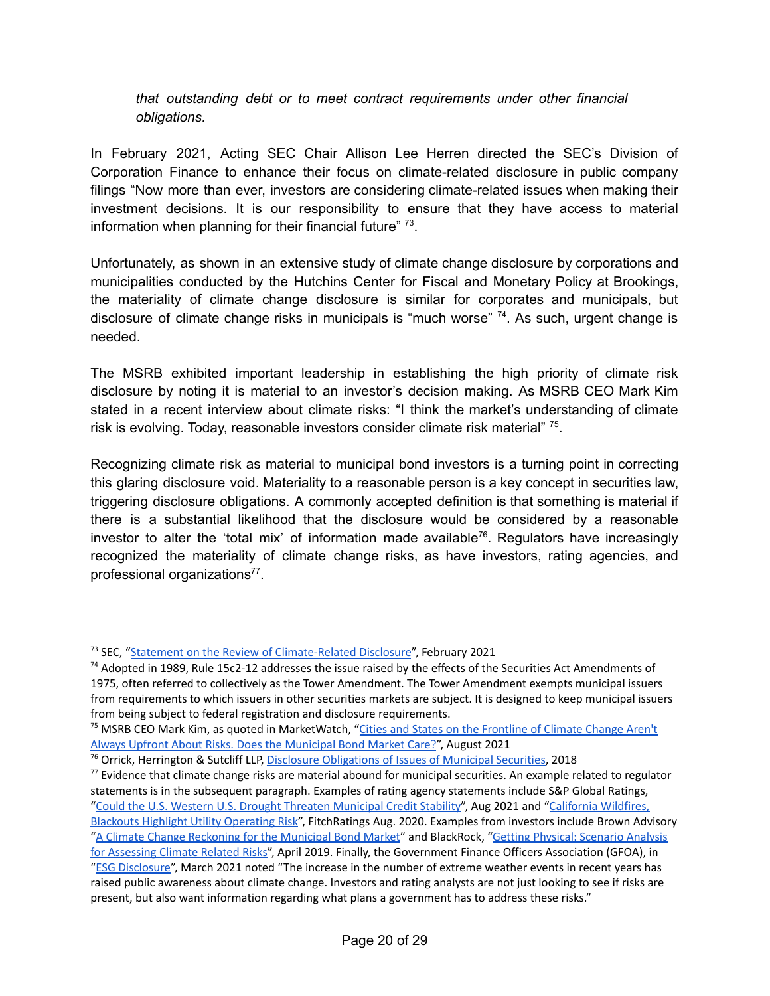#### *that outstanding debt or to meet contract requirements under other financial obligations.*

In February 2021, Acting SEC Chair Allison Lee Herren directed the SEC's Division of Corporation Finance to enhance their focus on climate-related disclosure in public company filings "Now more than ever, investors are considering climate-related issues when making their investment decisions. It is our responsibility to ensure that they have access to material information when planning for their financial future"  $73$ .

Unfortunately, as shown in an extensive study of climate change disclosure by corporations and municipalities conducted by the Hutchins Center for Fiscal and Monetary Policy at Brookings, the materiality of climate change disclosure is similar for corporates and municipals, but disclosure of climate change risks in municipals is "much worse" <sup>74</sup>. As such, urgent change is needed.

The MSRB exhibited important leadership in establishing the high priority of climate risk disclosure by noting it is material to an investor's decision making. As MSRB CEO Mark Kim stated in a recent interview about climate risks: "I think the market's understanding of climate risk is evolving. Today, reasonable investors consider climate risk material" <sup>75</sup>.

Recognizing climate risk as material to municipal bond investors is a turning point in correcting this glaring disclosure void. Materiality to a reasonable person is a key concept in securities law, triggering disclosure obligations. A commonly accepted definition is that something is material if there is a substantial likelihood that the disclosure would be considered by a reasonable investor to alter the 'total mix' of information made available 76 . Regulators have increasingly recognized the materiality of climate change risks, as have investors, rating agencies, and professional organizations<sup>77</sup>.

<sup>&</sup>lt;sup>73</sup> SEC, "Statement on the Review of [Climate-Related](https://www.sec.gov/news/public-statement/lee-statement-review-climate-related-disclosure) Disclosure", February 2021

 $74$  Adopted in 1989, Rule 15c2-12 addresses the issue raised by the effects of the Securities Act Amendments of 1975, often referred to collectively as the Tower Amendment. The Tower Amendment exempts municipal issuers from requirements to which issuers in other securities markets are subject. It is designed to keep municipal issuers from being subject to federal registration and disclosure requirements.

<sup>&</sup>lt;sup>75</sup> MSRB CEO Mark Kim, as quoted in MarketWatch, "Cities and States on the [Frontline](https://www.marketwatch.com/story/cities-and-states-on-the-frontline-of-climate-change-arent-always-upfront-about-risks-does-the-municipal-bond-market-care-11629985034?reflink=mw_share_linkedin) of Climate Change Aren't Always Upfront About Risks. Does the [Municipal](https://www.marketwatch.com/story/cities-and-states-on-the-frontline-of-climate-change-arent-always-upfront-about-risks-does-the-municipal-bond-market-care-11629985034?reflink=mw_share_linkedin) Bond Market Care?", August 2021

<sup>76</sup> Orrick, Herrington & Sutcliff LLP, Disclosure [Obligations](https://s3.amazonaws.com/cdn.orrick.com/files/Insights/PBF-Green-Book-Disclosure-Obligations-Municipal-Securities.pdf) of Issues of Municipal Securities, 2018

 $77$  Evidence that climate change risks are material abound for municipal securities. An example related to regulator statements is in the subsequent paragraph. Examples of rating agency statements include S&P Global Ratings, "Could the U.S. Western U.S. Drought Threaten [Municipal](https://www.spglobal.com/ratings/en/research/articles/210818-could-the-western-u-s-drought-threaten-municipal-credit-stability-12082229) Credit Stability", Aug 2021 and "California [Wildfires,](https://www.fitchratings.com/research/us-public-finance/california-wildfires-blackouts-highlight-utility-operating-risk-27-08-2020) Blackouts Highlight Utility [Operating](https://www.fitchratings.com/research/us-public-finance/california-wildfires-blackouts-highlight-utility-operating-risk-27-08-2020) Risk", FitchRatings Aug. 2020. Examples from investors include Brown Advisory "A Climate Change [Reckoning](https://www.brownadvisory.com/us/theadvisory/climate-change-reckoning-municipal-bond-market) for the Municipal Bond Market" and BlackRock, "Getting Physical: [Scenario](https://www.chinawaterrisk.org/research-reports/getting-physical-scenario-analysis-for-assessing-climate-related-risks/) Analysis for [Assessing](https://www.chinawaterrisk.org/research-reports/getting-physical-scenario-analysis-for-assessing-climate-related-risks/) Climate Related Risks", April 2019. Finally, the Government Finance Officers Association (GFOA), in "ESG [Disclosure"](https://www.gfoa.org/materials/esg-disclosure), March 2021 noted "The increase in the number of extreme weather events in recent years has raised public awareness about climate change. Investors and rating analysts are not just looking to see if risks are present, but also want information regarding what plans a government has to address these risks."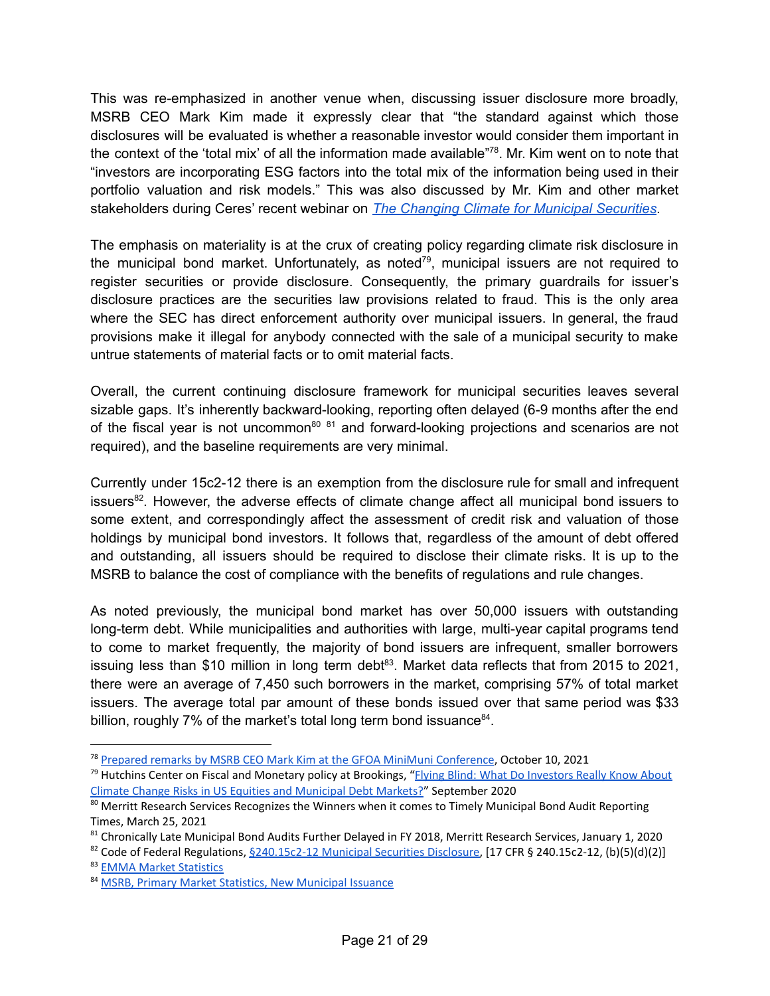This was re-emphasized in another venue when, discussing issuer disclosure more broadly, MSRB CEO Mark Kim made it expressly clear that "the standard against which those disclosures will be evaluated is whether a reasonable investor would consider them important in the context of the 'total mix' of all the information made available"<sup>78</sup>. Mr. Kim went on to note that "investors are incorporating ESG factors into the total mix of the information being used in their portfolio valuation and risk models." This was also discussed by Mr. Kim and other market stakeholders during Ceres' recent webinar on *The Changing Climate for Municipal [Securities](https://www.ceres.org/events/webinar-changing-climate-municipal-securities-discussion-esg-practices-and-climate-risk)*.

The emphasis on materiality is at the crux of creating policy regarding climate risk disclosure in the municipal bond market. Unfortunately, as noted<sup>79</sup>, municipal issuers are not required to register securities or provide disclosure. Consequently, the primary guardrails for issuer's disclosure practices are the securities law provisions related to fraud. This is the only area where the SEC has direct enforcement authority over municipal issuers. In general, the fraud provisions make it illegal for anybody connected with the sale of a municipal security to make untrue statements of material facts or to omit material facts.

Overall, the current continuing disclosure framework for municipal securities leaves several sizable gaps. It's inherently backward-looking, reporting often delayed (6-9 months after the end of the fiscal year is not uncommon<sup>80 81</sup> and forward-looking projections and scenarios are not required), and the baseline requirements are very minimal.

Currently under 15c2-12 there is an exemption from the disclosure rule for small and infrequent issuers<sup>82</sup>. However, the adverse effects of climate change affect all municipal bond issuers to some extent, and correspondingly affect the assessment of credit risk and valuation of those holdings by municipal bond investors. It follows that, regardless of the amount of debt offered and outstanding, all issuers should be required to disclose their climate risks. It is up to the MSRB to balance the cost of compliance with the benefits of regulations and rule changes.

As noted previously, the municipal bond market has over 50,000 issuers with outstanding long-term debt. While municipalities and authorities with large, multi-year capital programs tend to come to market frequently, the majority of bond issuers are infrequent, smaller borrowers issuing less than \$10 million in long term debt<sup>83</sup>. Market data reflects that from 2015 to 2021, there were an average of 7,450 such borrowers in the market, comprising 57% of total market issuers. The average total par amount of these bonds issued over that same period was \$33 billion, roughly 7% of the market's total long term bond issuance<sup>84</sup>.

<sup>78</sup> Prepared remarks by MSRB CEO Mark Kim at the GFOA MiniMuni [Conference](https://www.msrb.org/Market-Topics/~/link.aspx?_id=B94D597450CE48E1AE8ACDE4A3E94B69&_z=z), October 10, 2021

<sup>&</sup>lt;sup>79</sup> Hutchins Center on Fiscal and Monetary policy at Brookings, "Elving Blind: What Do [Investors](https://www.brookings.edu/wp-content/uploads/2020/09/WP67_Victor-et-al.pdf) Really Know About Climate Change Risks in US Equities and [Municipal](https://www.brookings.edu/wp-content/uploads/2020/09/WP67_Victor-et-al.pdf) Debt Markets?" September 2020

<sup>&</sup>lt;sup>80</sup> Merritt Research Services Recognizes the Winners when it comes to Timely Municipal Bond Audit Reporting Times, March 25, 2021

<sup>81</sup> Chronically Late Municipal Bond Audits Further Delayed in FY 2018, Merritt Research Services, January 1, 2020

<sup>83</sup> EMMA Market [Statistics](https://emma.msrb.org/MarketActivity/ViewStatistics.aspx) <sup>82</sup> Code of Federal Regulations,  $\frac{6240.15c2-12 \text{ Municipal Securities Discourse}}{17 \text{ CFR } }$  $\frac{6240.15c2-12 \text{ Municipal Securities Discourse}}{17 \text{ CFR } }$  $\frac{6240.15c2-12 \text{ Municipal Securities Discourse}}{17 \text{ CFR } }$  \$ 240.15c2-12, (b)(5)(d)(2)]

<sup>84</sup> MSRB, Primary Market Statistics, New [Municipal](https://emma.msrb.org/MarketActivity/ViewStatistics.aspx) Issuance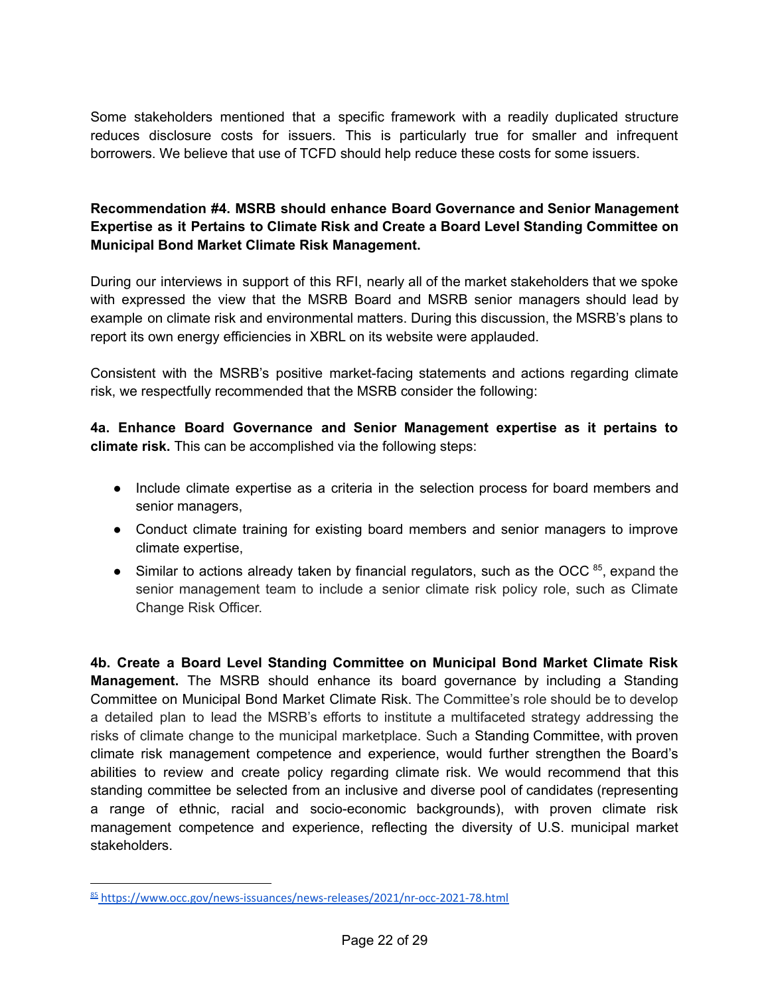Some stakeholders mentioned that a specific framework with a readily duplicated structure reduces disclosure costs for issuers. This is particularly true for smaller and infrequent borrowers. We believe that use of TCFD should help reduce these costs for some issuers.

# **Recommendation #4. MSRB should enhance Board Governance and Senior Management Expertise as it Pertains to Climate Risk and Create a Board Level Standing Committee on Municipal Bond Market Climate Risk Management.**

During our interviews in support of this RFI, nearly all of the market stakeholders that we spoke with expressed the view that the MSRB Board and MSRB senior managers should lead by example on climate risk and environmental matters. During this discussion, the MSRB's plans to report its own energy efficiencies in XBRL on its website were applauded.

Consistent with the MSRB's positive market-facing statements and actions regarding climate risk, we respectfully recommended that the MSRB consider the following:

**4a. Enhance Board Governance and Senior Management expertise as it pertains to climate risk.** This can be accomplished via the following steps:

- Include climate expertise as a criteria in the selection process for board members and senior managers,
- Conduct climate training for existing board members and senior managers to improve climate expertise,
- Similar to actions already taken by financial regulators, such as the OCC <sup>85</sup>, expand the senior management team to include a senior climate risk policy role, such as Climate Change Risk Officer.

**4b. Create a Board Level Standing Committee on Municipal Bond Market Climate Risk Management.** The MSRB should enhance its board governance by including a Standing Committee on Municipal Bond Market Climate Risk. The Committee's role should be to develop a detailed plan to lead the MSRB's efforts to institute a multifaceted strategy addressing the risks of climate change to the municipal marketplace. Such a Standing Committee, with proven climate risk management competence and experience, would further strengthen the Board's abilities to review and create policy regarding climate risk. We would recommend that this standing committee be selected from an inclusive and diverse pool of candidates (representing a range of ethnic, racial and socio-economic backgrounds), with proven climate risk management competence and experience, reflecting the diversity of U.S. municipal market stakeholders.

<sup>85</sup> <https://www.occ.gov/news-issuances/news-releases/2021/nr-occ-2021-78.html>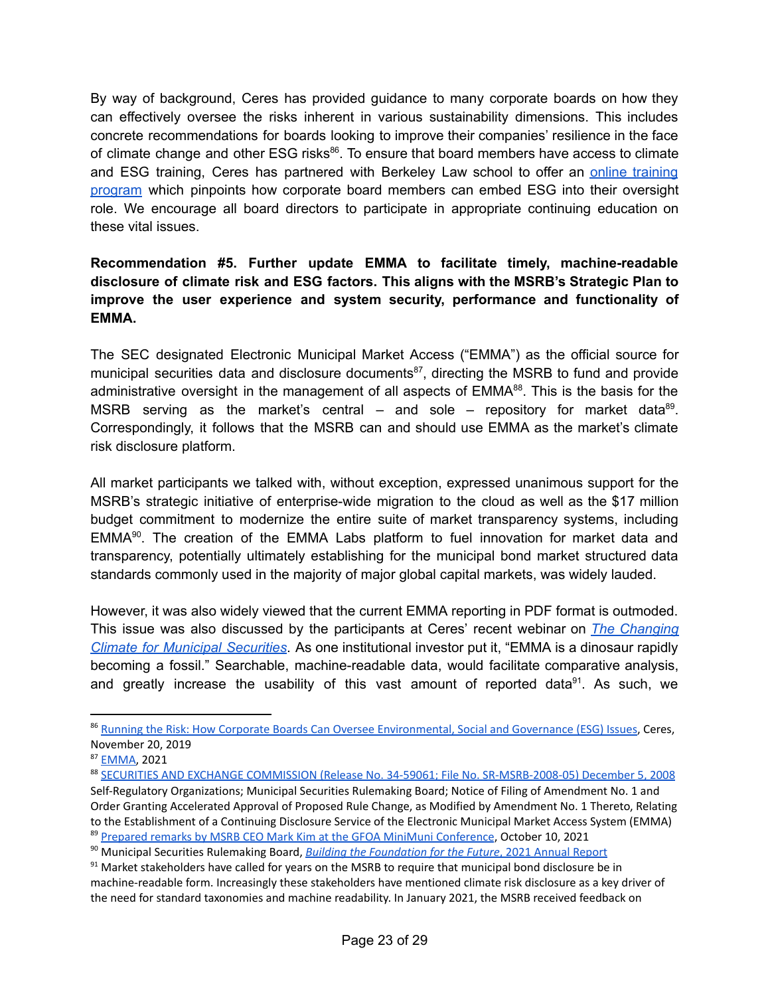By way of background, Ceres has provided guidance to many corporate boards on how they can effectively oversee the risks inherent in various sustainability dimensions. This includes concrete recommendations for boards looking to improve their companies' resilience in the face of climate change and other ESG risks<sup>86</sup>. To ensure that board members have access to climate and ESG [training](https://executive.law.berkeley.edu/online-programs/esg-navigating-the-boards-role/), Ceres has partnered with Berkeley Law school to offer an online training [program](https://executive.law.berkeley.edu/online-programs/esg-navigating-the-boards-role/) which pinpoints how corporate board members can embed ESG into their oversight role. We encourage all board directors to participate in appropriate continuing education on these vital issues.

# **Recommendation #5. Further update EMMA to facilitate timely, machine-readable disclosure of climate risk and ESG factors. This aligns with the MSRB's Strategic Plan to improve the user experience and system security, performance and functionality of EMMA.**

The SEC designated Electronic Municipal Market Access ("EMMA") as the official source for municipal securities data and disclosure documents<sup>87</sup>, directing the MSRB to fund and provide administrative oversight in the management of all aspects of EMMA<sup>88</sup>. This is the basis for the MSRB serving as the market's central  $-$  and sole  $-$  repository for market data<sup>89</sup>. Correspondingly, it follows that the MSRB can and should use EMMA as the market's climate risk disclosure platform.

All market participants we talked with, without exception, expressed unanimous support for the MSRB's strategic initiative of enterprise-wide migration to the cloud as well as the \$17 million budget commitment to modernize the entire suite of market transparency systems, including EMMA<sup>90</sup>. The creation of the EMMA Labs platform to fuel innovation for market data and transparency, potentially ultimately establishing for the municipal bond market structured data standards commonly used in the majority of major global capital markets, was widely lauded.

However, it was also widely viewed that the current EMMA reporting in PDF format is outmoded. This issue was also discussed by the participants at Ceres' recent webinar on *The [Changing](https://www.ceres.org/events/webinar-changing-climate-municipal-securities-discussion-esg-practices-and-climate-risk) Climate for Municipal [Securities](https://www.ceres.org/events/webinar-changing-climate-municipal-securities-discussion-esg-practices-and-climate-risk)*. As one institutional investor put it, "EMMA is a dinosaur rapidly becoming a fossil." Searchable, machine-readable data, would facilitate comparative analysis, and greatly increase the usability of this vast amount of reported data<sup>91</sup>. As such, we

<sup>86</sup> Running the Risk: How Corporate Boards Can Oversee [Environmental,](https://www.ceres.org/resources/reports/running-risk-how-corporate-boards-can-oversee-environmental-social-and-governance) Social and Governance (ESG) Issues, Ceres, November 20, 2019

<sup>87</sup> [EMMA](https://emma.msrb.org/), 2021

<sup>&</sup>lt;sup>89</sup> Prepared remarks by MSRB CEO Mark Kim at the GFOA MiniMuni [Conference](https://www.msrb.org/Market-Topics/~/link.aspx?_id=B94D597450CE48E1AE8ACDE4A3E94B69&_z=z), October 10, 2021 <sup>88</sup> SECURITIES AND EXCHANGE COMMISSION (Release No. 34-59061; File No. [SR-MSRB-2008-05\)](https://www.sec.gov/rules/sro/msrb/2008/34-59061.pdf) December 5, 2008 Self-Regulatory Organizations; Municipal Securities Rulemaking Board; Notice of Filing of Amendment No. 1 and Order Granting Accelerated Approval of Proposed Rule Change, as Modified by Amendment No. 1 Thereto, Relating to the Establishment of a Continuing Disclosure Service of the Electronic Municipal Market Access System (EMMA)

<sup>90</sup> Municipal Securities Rulemaking Board, *Building the [Foundation](https://www.msrb.org/-/media/Files/Resources/MSRB-2021-Annual-Report.ashx?) for the Future*, 2021 Annual Report

 $91$  Market stakeholders have called for years on the MSRB to require that municipal bond disclosure be in machine-readable form. Increasingly these stakeholders have mentioned climate risk disclosure as a key driver of the need for standard taxonomies and machine readability. In January 2021, the MSRB received feedback on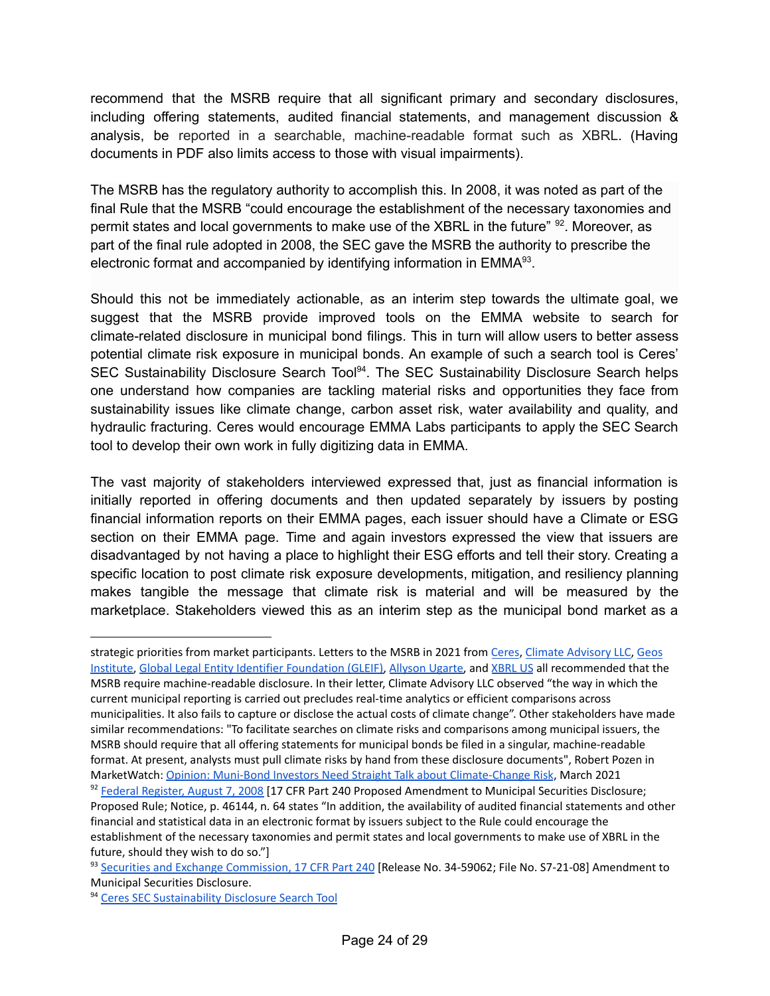recommend that the MSRB require that all significant primary and secondary disclosures, including offering statements, audited financial statements, and management discussion & analysis, be reported in a searchable, machine-readable format such as XBRL. (Having documents in PDF also limits access to those with visual impairments).

The MSRB has the regulatory authority to accomplish this. In 2008, it was noted as part of the final Rule that the MSRB "could encourage the establishment of the necessary taxonomies and permit states and local governments to make use of the XBRL in the future" <sup>92</sup>. Moreover, as part of the final rule adopted in 2008, the SEC gave the MSRB the authority to prescribe the electronic format and accompanied by identifying information in  $EMMA<sup>93</sup>$ .

Should this not be immediately actionable, as an interim step towards the ultimate goal, we suggest that the MSRB provide improved tools on the EMMA website to search for climate-related disclosure in municipal bond filings. This in turn will allow users to better assess potential climate risk exposure in municipal bonds. An example of such a search tool is Ceres' SEC [Sustainability](https://www.ceres.org/resources/tools/sec-sustainability-disclosure-search-tool) Disclosure Search Tool<sup>94</sup>. The SEC Sustainability Disclosure Search helps one understand how companies are tackling material risks and opportunities they face from sustainability issues like climate change, carbon asset risk, water availability and quality, and hydraulic fracturing. Ceres would encourage EMMA Labs participants to apply the SEC Search tool to develop their own work in fully digitizing data in EMMA.

The vast majority of stakeholders interviewed expressed that, just as financial information is initially reported in offering documents and then updated separately by issuers by posting financial information reports on their EMMA pages, each issuer should have a Climate or ESG section on their EMMA page. Time and again investors expressed the view that issuers are disadvantaged by not having a place to highlight their ESG efforts and tell their story. Creating a specific location to post climate risk exposure developments, mitigation, and resiliency planning makes tangible the message that climate risk is material and will be measured by the marketplace. Stakeholders viewed this as an interim step as the municipal bond market as a

92 Federal [Register,](https://www.govinfo.gov/content/pkg/FR-2008-08-07/pdf/E8-17856.pdf) August 7, 2008 [17 CFR Part 240 Proposed Amendment to Municipal Securities Disclosure; Proposed Rule; Notice, p. 46144, n. 64 states "In addition, the availability of audited financial statements and other financial and statistical data in an electronic format by issuers subject to the Rule could encourage the establishment of the necessary taxonomies and permit states and local governments to make use of XBRL in the future, should they wish to do so."] strategic priorities from market participants. Letters to the MSRB in 2021 from [Ceres](https://www.msrb.org/rfc/2020-19/Ceres.pdf), Climate [Advisory](https://www.msrb.org/rfc/2020-19/ClimateAdvisory.pdf) LLC, [Geos](https://www.msrb.org/rfc/2020-19/GeosInstitute.pdf) [Institute](https://www.msrb.org/rfc/2020-19/GeosInstitute.pdf), Global Legal Entity Identifier [Foundation](https://www.msrb.org/rfc/2020-19/GLEIF.pdf) (GLEIF), [Allyson](https://www.msrb.org/rfc/2020-19/Ugarte.pdf) Ugarte, and [XBRL](https://www.msrb.org/rfc/2020-19/XBRL.pdf) US all recommended that the MSRB require machine-readable disclosure. In their letter, Climate Advisory LLC observed "the way in which the current municipal reporting is carried out precludes real-time analytics or efficient comparisons across municipalities. It also fails to capture or disclose the actual costs of climate change". Other stakeholders have made similar recommendations: "To facilitate searches on climate risks and comparisons among municipal issuers, the MSRB should require that all offering statements for municipal bonds be filed in a singular, machine-readable format. At present, analysts must pull climate risks by hand from these disclosure documents", Robert Pozen in MarketWatch: Opinion: Muni-Bond Investors Need Straight Talk about [Climate-Change](https://www.marketwatch.com/story/muni-bond-investors-need-straight-talk-about-climate-change-risk-11617001961) Risk, March 2021

<sup>93</sup> Securities and Exchange [Commission,](https://www.sec.gov/rules/final/2008/34-59062.pdf) 17 CFR Part 240 [Release No. 34-59062; File No. S7-21-08] Amendment to Municipal Securities Disclosure.

<sup>94</sup> Ceres SEC [Sustainability](https://www.ceres.org/resources/tools/sec-sustainability-disclosure-search-tool) Disclosure Search Tool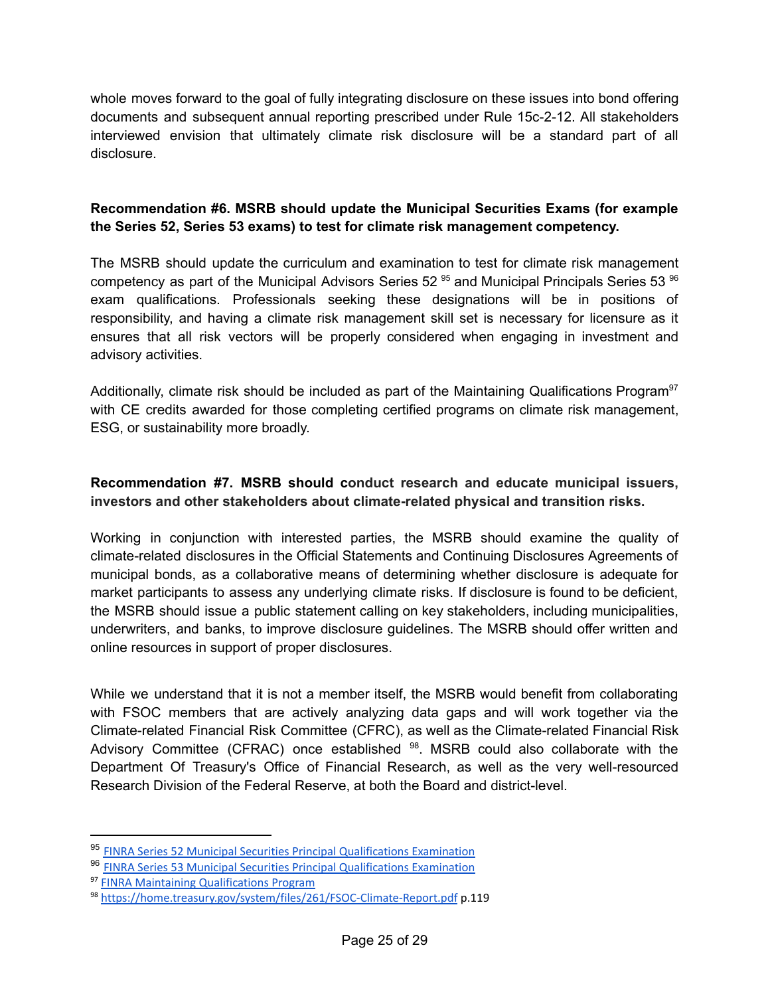whole moves forward to the goal of fully integrating disclosure on these issues into bond offering documents and subsequent annual reporting prescribed under Rule 15c-2-12. All stakeholders interviewed envision that ultimately climate risk disclosure will be a standard part of all disclosure.

# **Recommendation #6. MSRB should update the Municipal Securities Exams (for example the Series 52, Series 53 exams) to test for climate risk management competency.**

The MSRB should update the curriculum and examination to test for climate risk management competency as part of the Municipal Advisors Series 52<sup>95</sup> and Municipal Principals Series 53<sup>96</sup> exam qualifications. Professionals seeking these designations will be in positions of responsibility, and having a climate risk management skill set is necessary for licensure as it ensures that all risk vectors will be properly considered when engaging in investment and advisory activities.

Additionally, climate risk should be included as part of the Maintaining Qualifications Program<sup>97</sup> with CE credits awarded for those completing certified programs on climate risk management, ESG, or sustainability more broadly.

#### **Recommendation #7. MSRB should conduct research and educate municipal issuers, investors and other stakeholders about climate-related physical and transition risks.**

Working in conjunction with interested parties, the MSRB should examine the quality of climate-related disclosures in the Official Statements and Continuing Disclosures Agreements of municipal bonds, as a collaborative means of determining whether disclosure is adequate for market participants to assess any underlying climate risks. If disclosure is found to be deficient, the MSRB should issue a public statement calling on key stakeholders, including municipalities, underwriters, and banks, to improve disclosure guidelines. The MSRB should offer written and online resources in support of proper disclosures.

While we understand that it is not a member itself, the MSRB would benefit from collaborating with FSOC members that are actively analyzing data gaps and will work together via the Climate-related Financial Risk Committee (CFRC), as well as the Climate-related Financial Risk Advisory Committee (CFRAC) once established <sup>98</sup>. MSRB could also collaborate with the Department Of Treasury's Office of Financial Research, as well as the very well-resourced Research Division of the Federal Reserve, at both the Board and district-level.

<sup>95</sup> FINRA Series 52 Municipal Securities Principal [Qualifications](https://www.finra.org/registration-exams-ce/qualification-exams/series52) Examination

<sup>96</sup> FINRA Series 53 Municipal Securities Principal [Qualifications](https://www.finra.org/registration-exams-ce/qualification-exams/series53) Examination

<sup>97</sup> FINRA Maintaining [Qualifications](https://www.finra.org/registration-exams-ce/continuing-education/CE-transformation/mqp) Program

<sup>98</sup> <https://home.treasury.gov/system/files/261/FSOC-Climate-Report.pdf> p.119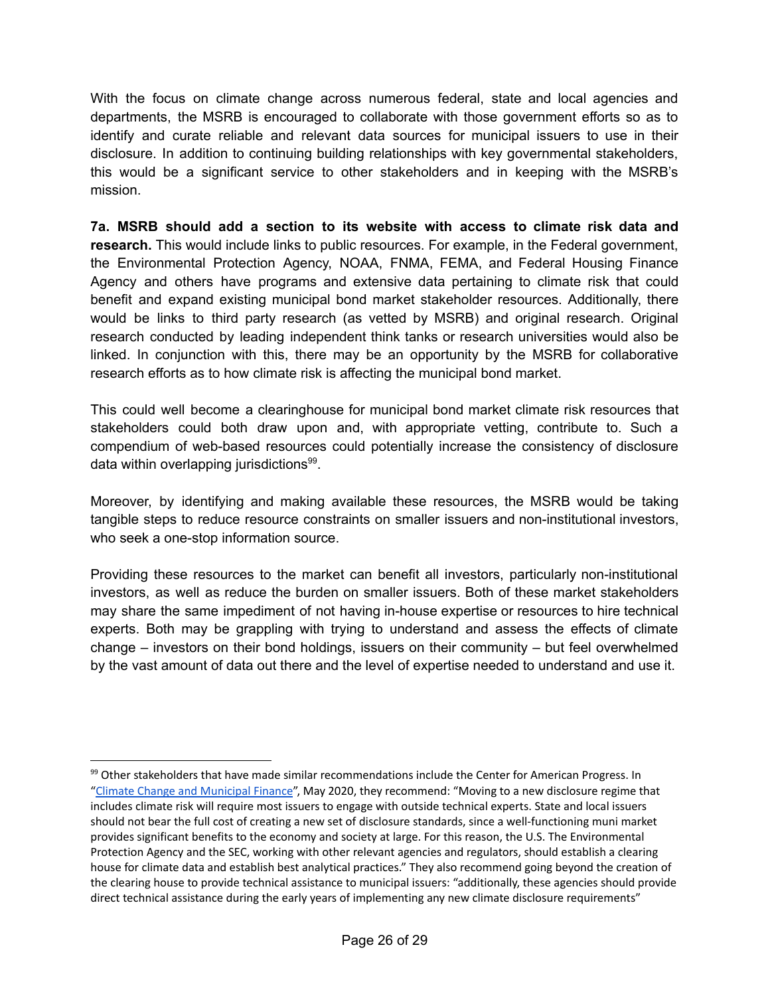With the focus on climate change across numerous federal, state and local agencies and departments, the MSRB is encouraged to collaborate with those government efforts so as to identify and curate reliable and relevant data sources for municipal issuers to use in their disclosure. In addition to continuing building relationships with key governmental stakeholders, this would be a significant service to other stakeholders and in keeping with the MSRB's mission.

**7a. MSRB should add a section to its website with access to climate risk data and research.** This would include links to public resources. For example, in the Federal government, the Environmental Protection Agency, NOAA, FNMA, FEMA, and Federal Housing Finance Agency and others have programs and extensive data pertaining to climate risk that could benefit and expand existing municipal bond market stakeholder resources. Additionally, there would be links to third party research (as vetted by MSRB) and original research. Original research conducted by leading independent think tanks or research universities would also be linked. In conjunction with this, there may be an opportunity by the MSRB for collaborative research efforts as to how climate risk is affecting the municipal bond market.

This could well become a clearinghouse for municipal bond market climate risk resources that stakeholders could both draw upon and, with appropriate vetting, contribute to. Such a compendium of web-based resources could potentially increase the consistency of disclosure data within overlapping jurisdictions<sup>99</sup>.

Moreover, by identifying and making available these resources, the MSRB would be taking tangible steps to reduce resource constraints on smaller issuers and non-institutional investors, who seek a one-stop information source.

Providing these resources to the market can benefit all investors, particularly non-institutional investors, as well as reduce the burden on smaller issuers. Both of these market stakeholders may share the same impediment of not having in-house expertise or resources to hire technical experts. Both may be grappling with trying to understand and assess the effects of climate change – investors on their bond holdings, issuers on their community – but feel overwhelmed by the vast amount of data out there and the level of expertise needed to understand and use it.

<sup>&</sup>lt;sup>99</sup> Other stakeholders that have made similar recommendations include the Center for American Progress. In "Climate Change and [Municipal](https://www.americanprogress.org/issues/economy/reports/2020/05/06/484173/climate-change-municipal-finance/) Finance", May 2020, they recommend: "Moving to a new disclosure regime that includes climate risk will require most issuers to engage with outside technical experts. State and local issuers should not bear the full cost of creating a new set of disclosure standards, since a well-functioning muni market provides significant benefits to the economy and society at large. For this reason, the U.S. The Environmental Protection Agency and the SEC, working with other relevant agencies and regulators, should establish a clearing house for climate data and establish best analytical practices." They also recommend going beyond the creation of the clearing house to provide technical assistance to municipal issuers: "additionally, these agencies should provide direct technical assistance during the early years of implementing any new climate disclosure requirements"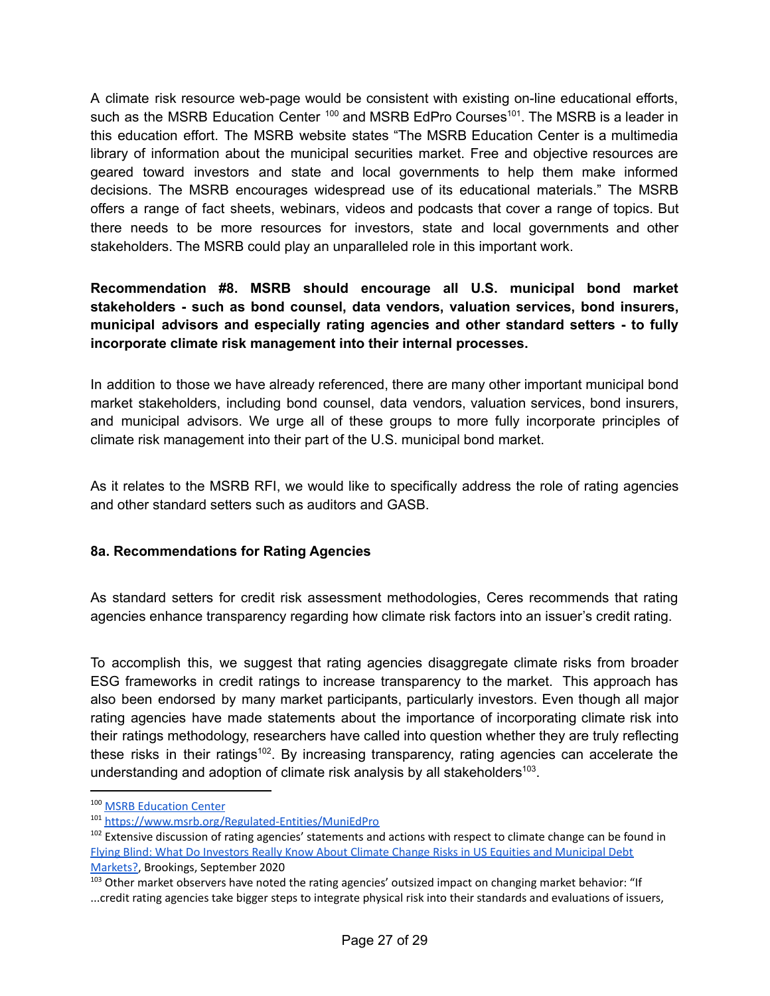A climate risk resource web-page would be consistent with existing on-line educational efforts, such as the MSRB Education Center <sup>100</sup> and MSRB EdPro Courses<sup>101</sup>. The MSRB is a leader in this education effort. The MSRB website states "The MSRB Education Center is a multimedia library of information about the municipal securities market. Free and objective resources are geared toward investors and state and local governments to help them make informed decisions. The MSRB encourages widespread use of its educational materials." The MSRB offers a range of fact sheets, webinars, videos and podcasts that cover a range of topics. But there needs to be more resources for investors, state and local governments and other stakeholders. The MSRB could play an unparalleled role in this important work.

# **Recommendation #8. MSRB should encourage all U.S. municipal bond market stakeholders - such as bond counsel, data vendors, valuation services, bond insurers, municipal advisors and especially rating agencies and other standard setters - to fully incorporate climate risk management into their internal processes.**

In addition to those we have already referenced, there are many other important municipal bond market stakeholders, including bond counsel, data vendors, valuation services, bond insurers, and municipal advisors. We urge all of these groups to more fully incorporate principles of climate risk management into their part of the U.S. municipal bond market.

As it relates to the MSRB RFI, we would like to specifically address the role of rating agencies and other standard setters such as auditors and GASB.

#### **8a. Recommendations for Rating Agencies**

As standard setters for credit risk assessment methodologies, Ceres recommends that rating agencies enhance transparency regarding how climate risk factors into an issuer's credit rating.

To accomplish this, we suggest that rating agencies disaggregate climate risks from broader ESG frameworks in credit ratings to increase transparency to the market. This approach has also been endorsed by many market participants, particularly investors. Even though all major rating agencies have made statements about the importance of incorporating climate risk into their ratings methodology, researchers have called into question whether they are truly reflecting these risks in their ratings<sup>102</sup>. By increasing transparency, rating agencies can accelerate the understanding and adoption of climate risk analysis by all stakeholders $^{103}$ .

<sup>&</sup>lt;sup>100</sup> MSRB [Education](https://www.msrb.org/EducationCenter) Center

<sup>101</sup> [https://www.msrb.org/Regulated-Entities/MuniEdPro](https://www.msrb.org/EducationCenter)

<sup>&</sup>lt;sup>102</sup> Extensive discussion of rating agencies' statements and actions with respect to climate change can be found in Flying Blind: What Do Investors Really Know About Climate Change Risks in US Equities and [Municipal](https://www.brookings.edu/wp-content/uploads/2020/09/WP67_Victor-et-al.pdf) Debt [Markets?,](https://www.brookings.edu/wp-content/uploads/2020/09/WP67_Victor-et-al.pdf) Brookings, September 2020

<sup>&</sup>lt;sup>103</sup> Other market observers have noted the rating agencies' outsized impact on changing market behavior: "If ...credit rating agencies take bigger steps to integrate physical risk into their standards and evaluations of issuers,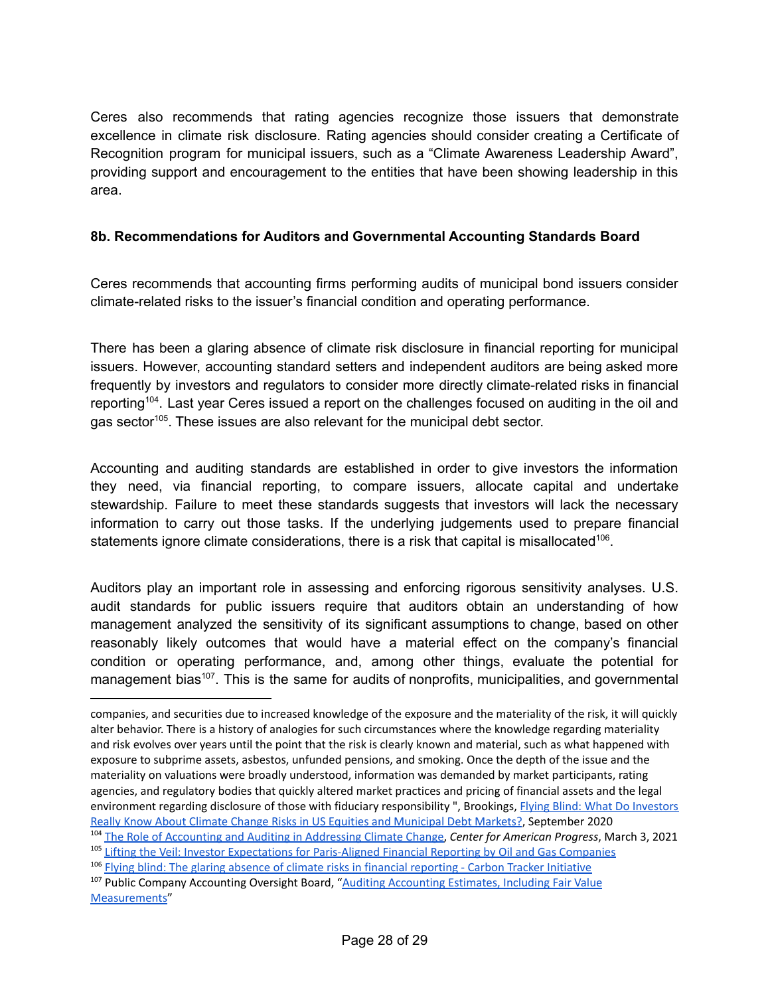Ceres also recommends that rating agencies recognize those issuers that demonstrate excellence in climate risk disclosure. Rating agencies should consider creating a Certificate of Recognition program for municipal issuers, such as a "Climate Awareness Leadership Award", providing support and encouragement to the entities that have been showing leadership in this area.

# **8b. Recommendations for Auditors and Governmental Accounting Standards Board**

Ceres recommends that accounting firms performing audits of municipal bond issuers consider climate-related risks to the issuer's financial condition and operating performance.

There has been a glaring absence of climate risk disclosure in financial reporting for municipal issuers. However, accounting standard setters and independent auditors are being asked more frequently by investors and regulators to consider more directly climate-related risks in financial reporting<sup>104</sup>. Last year Ceres issued a report on the challenges focused on auditing in the oil and gas sector<sup>105</sup>. These issues are also relevant for the municipal debt sector.

Accounting and auditing standards are established in order to give investors the information they need, via financial reporting, to compare issuers, allocate capital and undertake stewardship. Failure to meet these standards suggests that investors will lack the necessary information to carry out those tasks. If the underlying judgements used to prepare financial statements ignore climate considerations, there is a risk that capital is misallocated<sup>106</sup>.

Auditors play an important role in assessing and enforcing rigorous sensitivity analyses. U.S. audit standards for public issuers require that auditors obtain an understanding of how management analyzed the sensitivity of its significant assumptions to change, based on other reasonably likely outcomes that would have a material effect on the company's financial condition or operating performance, and, among other things, evaluate the potential for management bias<sup>107</sup>. This is the same for audits of nonprofits, municipalities, and governmental

companies, and securities due to increased knowledge of the exposure and the materiality of the risk, it will quickly alter behavior. There is a history of analogies for such circumstances where the knowledge regarding materiality and risk evolves over years until the point that the risk is clearly known and material, such as what happened with exposure to subprime assets, asbestos, unfunded pensions, and smoking. Once the depth of the issue and the materiality on valuations were broadly understood, information was demanded by market participants, rating agencies, and regulatory bodies that quickly altered market practices and pricing of financial assets and the legal environment regarding disclosure of those with fiduciary responsibility ", Brookings, Flying Blind: What Do [Investors](https://www.brookings.edu/wp-content/uploads/2020/09/WP67_Victor-et-al.pdf) Really Know About Climate Change Risks in US Equities and [Municipal](https://www.brookings.edu/wp-content/uploads/2020/09/WP67_Victor-et-al.pdf) Debt Markets?, September 2020

<sup>&</sup>lt;sup>105</sup> Lifting the Veil: Investor Expectations for [Paris-Aligned](https://www.ceres.org/resources/reports/lifting-veil-investor-expectations-paris-aligned-financial-reporting-oil-and-gas) Financial Reporting by Oil and Gas Companies <sup>104</sup> The Role of [Accounting](https://www.americanprogress.org/article/role-accounting-auditing-addressing-climate-change/) and Auditing in Addressing Climate Change, *Center for American Progress*, March 3, 2021

<sup>106</sup> Flying blind: The glaring absence of climate risks in financial [reporting](https://carbontracker.org/reports/flying-blind-the-glaring-absence-of-climate-risks-in-financial-reporting/) - Carbon Tracker Initiative

<sup>&</sup>lt;sup>107</sup> Public Company [Accounting](https://pcaobus.org/oversight/standards/auditing-standards/details/AS2501) Oversight Board, "Auditing Accounting Estimates, Including Fair Value [Measurements](https://pcaobus.org/oversight/standards/auditing-standards/details/AS2501)"